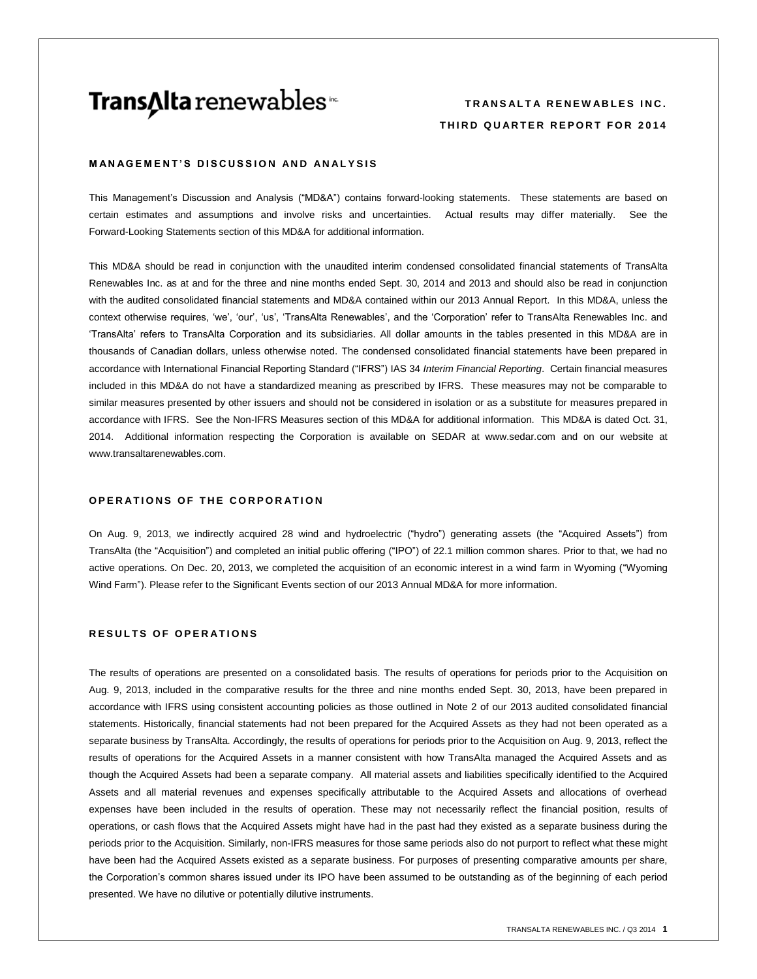# **Trans∆Ita** renewables<sup>™</sup>

# **TRANSALTA RENEWABLES INC. T H I R D Q U A R T E R R E P O R T F O R 2 0 1 4**

## **MANAGEMENT'S DISCUSSION AND ANALYSIS**

This Management's Discussion and Analysis ("MD&A") contains forward-looking statements. These statements are based on certain estimates and assumptions and involve risks and uncertainties. Actual results may differ materially. See the Forward-Looking Statements section of this MD&A for additional information.

This MD&A should be read in conjunction with the unaudited interim condensed consolidated financial statements of TransAlta Renewables Inc. as at and for the three and nine months ended Sept. 30, 2014 and 2013 and should also be read in conjunction with the audited consolidated financial statements and MD&A contained within our 2013 Annual Report. In this MD&A, unless the context otherwise requires, 'we', 'our', 'us', 'TransAlta Renewables', and the 'Corporation' refer to TransAlta Renewables Inc. and 'TransAlta' refers to TransAlta Corporation and its subsidiaries. All dollar amounts in the tables presented in this MD&A are in thousands of Canadian dollars, unless otherwise noted. The condensed consolidated financial statements have been prepared in accordance with International Financial Reporting Standard ("IFRS") IAS 34 *Interim Financial Reporting*. Certain financial measures included in this MD&A do not have a standardized meaning as prescribed by IFRS. These measures may not be comparable to similar measures presented by other issuers and should not be considered in isolation or as a substitute for measures prepared in accordance with IFRS. See the Non-IFRS Measures section of this MD&A for additional information. This MD&A is dated Oct. 31, 2014. Additional information respecting the Corporation is available on SEDAR at [www.sedar.com](http://www.sedar.com/) and on our website at www.transaltarenewables.com.

# **OPERATIONS OF THE CORPORATION**

On Aug. 9, 2013, we indirectly acquired 28 wind and hydroelectric ("hydro") generating assets (the "Acquired Assets") from TransAlta (the "Acquisition") and completed an initial public offering ("IPO") of 22.1 million common shares. Prior to that, we had no active operations. On Dec. 20, 2013, we completed the acquisition of an economic interest in a wind farm in Wyoming ("Wyoming Wind Farm"). Please refer to the Significant Events section of our 2013 Annual MD&A for more information.

## **RESULTS OF OPERATIONS**

The results of operations are presented on a consolidated basis. The results of operations for periods prior to the Acquisition on Aug. 9, 2013, included in the comparative results for the three and nine months ended Sept. 30, 2013, have been prepared in accordance with IFRS using consistent accounting policies as those outlined in Note 2 of our 2013 audited consolidated financial statements. Historically, financial statements had not been prepared for the Acquired Assets as they had not been operated as a separate business by TransAlta. Accordingly, the results of operations for periods prior to the Acquisition on Aug. 9, 2013, reflect the results of operations for the Acquired Assets in a manner consistent with how TransAlta managed the Acquired Assets and as though the Acquired Assets had been a separate company. All material assets and liabilities specifically identified to the Acquired Assets and all material revenues and expenses specifically attributable to the Acquired Assets and allocations of overhead expenses have been included in the results of operation. These may not necessarily reflect the financial position, results of operations, or cash flows that the Acquired Assets might have had in the past had they existed as a separate business during the periods prior to the Acquisition. Similarly, non-IFRS measures for those same periods also do not purport to reflect what these might have been had the Acquired Assets existed as a separate business. For purposes of presenting comparative amounts per share, the Corporation's common shares issued under its IPO have been assumed to be outstanding as of the beginning of each period presented. We have no dilutive or potentially dilutive instruments.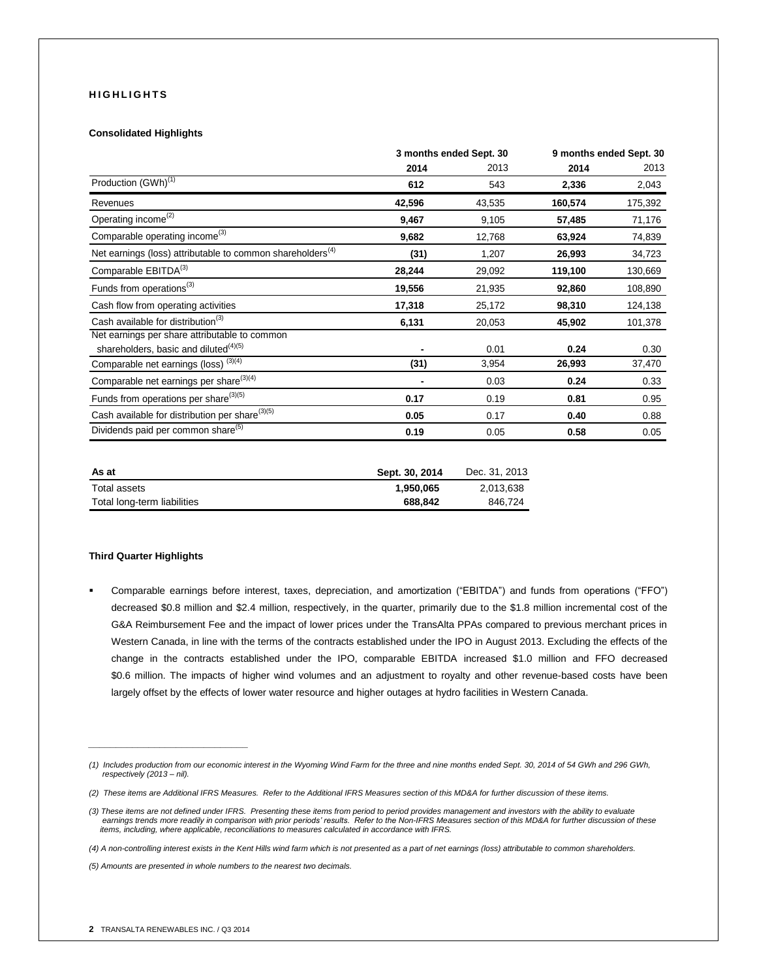# **H I G H L I G H T S**

#### **Consolidated Highlights**

|                                                                        | 3 months ended Sept. 30 |        | 9 months ended Sept. 30 |         |
|------------------------------------------------------------------------|-------------------------|--------|-------------------------|---------|
|                                                                        | 2014                    | 2013   | 2014                    | 2013    |
| Production (GWh) <sup>(1)</sup>                                        | 612                     | 543    | 2,336                   | 2,043   |
| Revenues                                                               | 42,596                  | 43,535 | 160,574                 | 175,392 |
| Operating income <sup>(2)</sup>                                        | 9,467                   | 9,105  | 57,485                  | 71,176  |
| Comparable operating income <sup>(3)</sup>                             | 9,682                   | 12,768 | 63,924                  | 74,839  |
| Net earnings (loss) attributable to common shareholders <sup>(4)</sup> | (31)                    | 1,207  | 26,993                  | 34,723  |
| Comparable EBITDA <sup>(3)</sup>                                       | 28,244                  | 29,092 | 119,100                 | 130,669 |
| Funds from operations <sup>(3)</sup>                                   | 19,556                  | 21,935 | 92,860                  | 108,890 |
| Cash flow from operating activities                                    | 17,318                  | 25,172 | 98,310                  | 124,138 |
| Cash available for distribution <sup>(3)</sup>                         | 6,131                   | 20,053 | 45,902                  | 101,378 |
| Net earnings per share attributable to common                          |                         |        |                         |         |
| shareholders, basic and diluted <sup>(4)(5)</sup>                      |                         | 0.01   | 0.24                    | 0.30    |
| Comparable net earnings (loss) <sup>(3)(4)</sup>                       | (31)                    | 3,954  | 26,993                  | 37,470  |
| Comparable net earnings per share <sup>(3)(4)</sup>                    | ٠                       | 0.03   | 0.24                    | 0.33    |
| Funds from operations per share <sup>(3)(5)</sup>                      | 0.17                    | 0.19   | 0.81                    | 0.95    |
| Cash available for distribution per share <sup>(3)(5)</sup>            | 0.05                    | 0.17   | 0.40                    | 0.88    |
| Dividends paid per common share <sup>(5)</sup>                         | 0.19                    | 0.05   | 0.58                    | 0.05    |

| As at                       | Sept. 30, 2014 | Dec. 31, 2013 |
|-----------------------------|----------------|---------------|
| Total assets                | 1.950.065      | 2.013.638     |
| Total long-term liabilities | 688.842        | 846.724       |

## **Third Quarter Highlights**

 Comparable earnings before interest, taxes, depreciation, and amortization ("EBITDA") and funds from operations ("FFO") decreased \$0.8 million and \$2.4 million, respectively, in the quarter, primarily due to the \$1.8 million incremental cost of the G&A Reimbursement Fee and the impact of lower prices under the TransAlta PPAs compared to previous merchant prices in Western Canada, in line with the terms of the contracts established under the IPO in August 2013. Excluding the effects of the change in the contracts established under the IPO, comparable EBITDA increased \$1.0 million and FFO decreased \$0.6 million. The impacts of higher wind volumes and an adjustment to royalty and other revenue-based costs have been largely offset by the effects of lower water resource and higher outages at hydro facilities in Western Canada.

*(4) A non-controlling interest exists in the Kent Hills wind farm which is not presented as a part of net earnings (loss) attributable to common shareholders.*

*(5) Amounts are presented in whole numbers to the nearest two decimals.*

*\_\_\_\_\_\_\_\_\_\_\_\_\_\_\_\_\_\_\_\_\_\_\_\_\_\_\_\_\_*

*<sup>(1)</sup> Includes production from our economic interest in the Wyoming Wind Farm for the three and nine months ended Sept. 30, 2014 of 54 GWh and 296 GWh, respectively (2013 – nil).*

*<sup>(2)</sup> These items are Additional IFRS Measures. Refer to the Additional IFRS Measures section of this MD&A for further discussion of these items.*

<sup>(3)</sup> These items are not defined under IFRS. Presenting these items from period to period provides management and investors with the ability to evaluate<br>earnings trends more readily in comparison with prior periods' results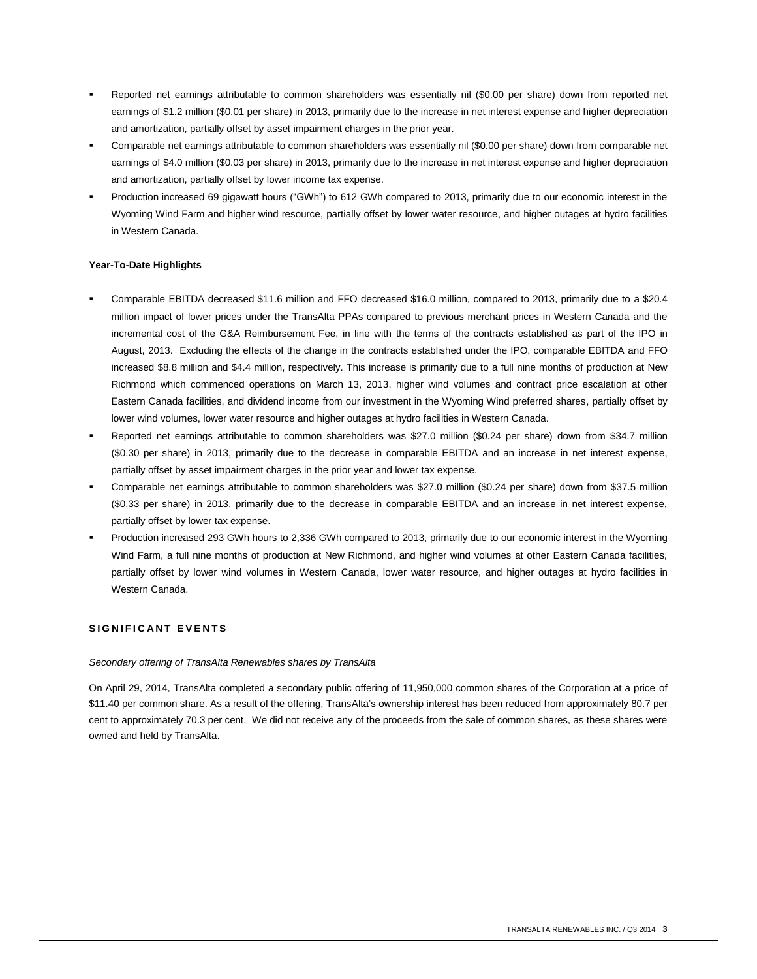- Reported net earnings attributable to common shareholders was essentially nil (\$0.00 per share) down from reported net earnings of \$1.2 million (\$0.01 per share) in 2013, primarily due to the increase in net interest expense and higher depreciation and amortization, partially offset by asset impairment charges in the prior year.
- Comparable net earnings attributable to common shareholders was essentially nil (\$0.00 per share) down from comparable net earnings of \$4.0 million (\$0.03 per share) in 2013, primarily due to the increase in net interest expense and higher depreciation and amortization, partially offset by lower income tax expense.
- Production increased 69 gigawatt hours ("GWh") to 612 GWh compared to 2013, primarily due to our economic interest in the Wyoming Wind Farm and higher wind resource, partially offset by lower water resource, and higher outages at hydro facilities in Western Canada.

# **Year-To-Date Highlights**

- Comparable EBITDA decreased \$11.6 million and FFO decreased \$16.0 million, compared to 2013, primarily due to a \$20.4 million impact of lower prices under the TransAlta PPAs compared to previous merchant prices in Western Canada and the incremental cost of the G&A Reimbursement Fee, in line with the terms of the contracts established as part of the IPO in August, 2013. Excluding the effects of the change in the contracts established under the IPO, comparable EBITDA and FFO increased \$8.8 million and \$4.4 million, respectively. This increase is primarily due to a full nine months of production at New Richmond which commenced operations on March 13, 2013, higher wind volumes and contract price escalation at other Eastern Canada facilities, and dividend income from our investment in the Wyoming Wind preferred shares, partially offset by lower wind volumes, lower water resource and higher outages at hydro facilities in Western Canada.
- Reported net earnings attributable to common shareholders was \$27.0 million (\$0.24 per share) down from \$34.7 million (\$0.30 per share) in 2013, primarily due to the decrease in comparable EBITDA and an increase in net interest expense, partially offset by asset impairment charges in the prior year and lower tax expense.
- Comparable net earnings attributable to common shareholders was \$27.0 million (\$0.24 per share) down from \$37.5 million (\$0.33 per share) in 2013, primarily due to the decrease in comparable EBITDA and an increase in net interest expense, partially offset by lower tax expense.
- Production increased 293 GWh hours to 2,336 GWh compared to 2013, primarily due to our economic interest in the Wyoming Wind Farm, a full nine months of production at New Richmond, and higher wind volumes at other Eastern Canada facilities, partially offset by lower wind volumes in Western Canada, lower water resource, and higher outages at hydro facilities in Western Canada.

# **SIGNIFICANT EVENTS**

## *Secondary offering of TransAlta Renewables shares by TransAlta*

On April 29, 2014, TransAlta completed a secondary public offering of 11,950,000 common shares of the Corporation at a price of \$11.40 per common share. As a result of the offering, TransAlta's ownership interest has been reduced from approximately 80.7 per cent to approximately 70.3 per cent. We did not receive any of the proceeds from the sale of common shares, as these shares were owned and held by TransAlta.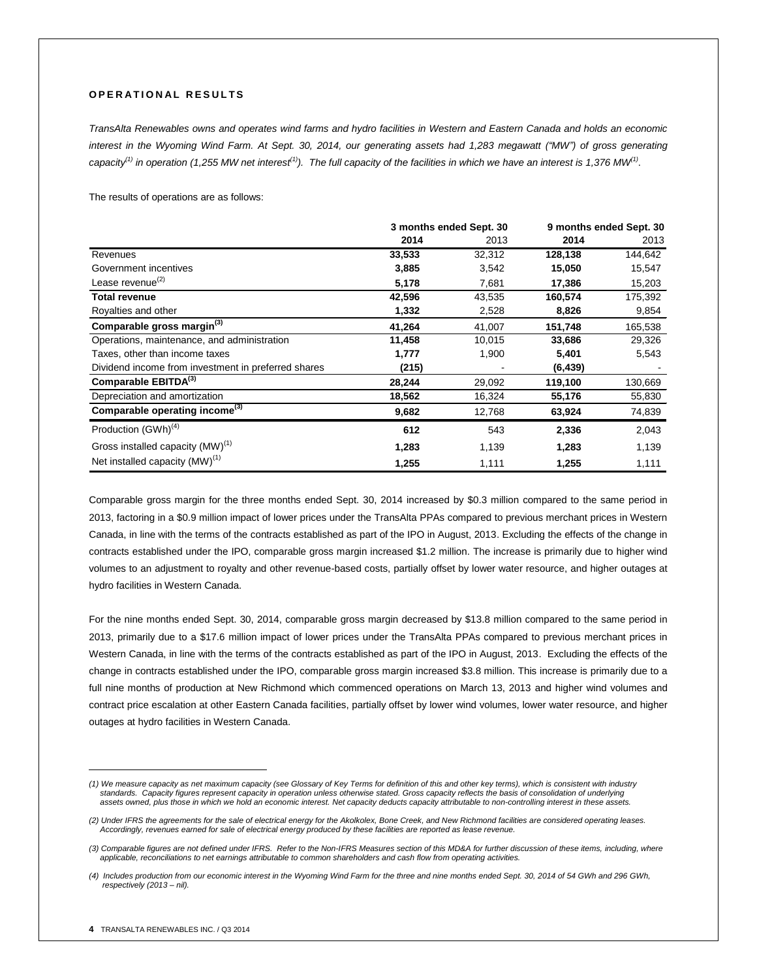# **O P E R A T I O N A L R E S U L T S**

*TransAlta Renewables owns and operates wind farms and hydro facilities in Western and Eastern Canada and holds an economic interest in the Wyoming Wind Farm. At Sept. 30, 2014, our generating assets had 1,283 megawatt ("MW") of gross generating capacity(1) in operation (1,255 MW net interest(1)). The full capacity of the facilities in which we have an interest is 1,376 MW(1)* .

The results of operations are as follows:

|                                                     | 3 months ended Sept. 30 |        |          | 9 months ended Sept. 30 |
|-----------------------------------------------------|-------------------------|--------|----------|-------------------------|
|                                                     | 2014                    | 2013   | 2014     | 2013                    |
| Revenues                                            | 33,533                  | 32,312 | 128,138  | 144,642                 |
| Government incentives                               | 3,885                   | 3,542  | 15,050   | 15,547                  |
| Lease revenue <sup>(2)</sup>                        | 5,178                   | 7,681  | 17,386   | 15,203                  |
| <b>Total revenue</b>                                | 42,596                  | 43,535 | 160,574  | 175,392                 |
| Royalties and other                                 | 1,332                   | 2,528  | 8,826    | 9,854                   |
| Comparable gross margin(3)                          | 41,264                  | 41,007 | 151,748  | 165,538                 |
| Operations, maintenance, and administration         | 11,458                  | 10,015 | 33,686   | 29,326                  |
| Taxes, other than income taxes                      | 1,777                   | 1,900  | 5,401    | 5,543                   |
| Dividend income from investment in preferred shares | (215)                   |        | (6, 439) |                         |
| Comparable EBITDA(3)                                | 28,244                  | 29,092 | 119,100  | 130,669                 |
| Depreciation and amortization                       | 18,562                  | 16,324 | 55,176   | 55,830                  |
| Comparable operating income <sup>(3)</sup>          | 9,682                   | 12,768 | 63,924   | 74,839                  |
| Production (GWh) <sup>(4)</sup>                     | 612                     | 543    | 2,336    | 2,043                   |
| Gross installed capacity (MW) <sup>(1)</sup>        | 1,283                   | 1,139  | 1,283    | 1,139                   |
| Net installed capacity (MW) <sup>(1)</sup>          | 1,255                   | 1,111  | 1,255    | 1,111                   |

Comparable gross margin for the three months ended Sept. 30, 2014 increased by \$0.3 million compared to the same period in 2013, factoring in a \$0.9 million impact of lower prices under the TransAlta PPAs compared to previous merchant prices in Western Canada, in line with the terms of the contracts established as part of the IPO in August, 2013. Excluding the effects of the change in contracts established under the IPO, comparable gross margin increased \$1.2 million. The increase is primarily due to higher wind volumes to an adjustment to royalty and other revenue-based costs, partially offset by lower water resource, and higher outages at hydro facilities in Western Canada.

For the nine months ended Sept. 30, 2014, comparable gross margin decreased by \$13.8 million compared to the same period in 2013, primarily due to a \$17.6 million impact of lower prices under the TransAlta PPAs compared to previous merchant prices in Western Canada, in line with the terms of the contracts established as part of the IPO in August, 2013. Excluding the effects of the change in contracts established under the IPO, comparable gross margin increased \$3.8 million. This increase is primarily due to a full nine months of production at New Richmond which commenced operations on March 13, 2013 and higher wind volumes and contract price escalation at other Eastern Canada facilities, partially offset by lower wind volumes, lower water resource, and higher outages at hydro facilities in Western Canada.

 $\overline{a}$ 

*<sup>(1)</sup> We measure capacity as net maximum capacity (see Glossary of Key Terms for definition of this and other key terms), which is consistent with industry standards. Capacity figures represent capacity in operation unless otherwise stated. Gross capacity reflects the basis of consolidation of underlying assets owned, plus those in which we hold an economic interest. Net capacity deducts capacity attributable to non-controlling interest in these assets.*

*<sup>(2)</sup> Under IFRS the agreements for the sale of electrical energy for the Akolkolex, Bone Creek, and New Richmond facilities are considered operating leases. Accordingly, revenues earned for sale of electrical energy produced by these facilities are reported as lease revenue.*

*<sup>(3)</sup> Comparable figures are not defined under IFRS. Refer to the Non-IFRS Measures section of this MD&A for further discussion of these items, including, where applicable, reconciliations to net earnings attributable to common shareholders and cash flow from operating activities.*

*<sup>(4)</sup> Includes production from our economic interest in the Wyoming Wind Farm for the three and nine months ended Sept. 30, 2014 of 54 GWh and 296 GWh, respectively (2013 – nil).*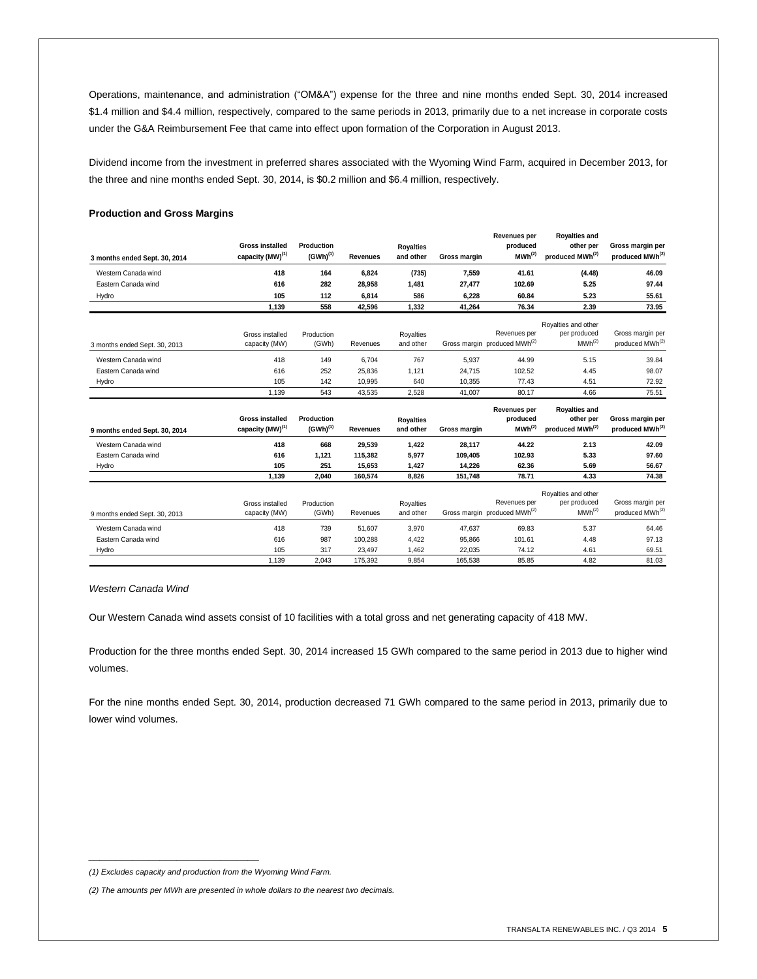Operations, maintenance, and administration ("OM&A") expense for the three and nine months ended Sept. 30, 2014 increased \$1.4 million and \$4.4 million, respectively, compared to the same periods in 2013, primarily due to a net increase in corporate costs under the G&A Reimbursement Fee that came into effect upon formation of the Corporation in August 2013.

Dividend income from the investment in preferred shares associated with the Wyoming Wind Farm, acquired in December 2013, for the three and nine months ended Sept. 30, 2014, is \$0.2 million and \$6.4 million, respectively.

## **Production and Gross Margins**

| 3 months ended Sept. 30, 2014 | <b>Gross installed</b><br>capacity (MW) <sup>(1)</sup> | Production<br>$(GWh)^{(1)}$ | <b>Revenues</b> | <b>Royalties</b><br>and other | Gross margin | <b>Revenues per</b><br>produced<br>MWh <sup>(2)</sup>    | <b>Royalties and</b><br>other per<br>produced MWh(2)      | Gross margin per<br>produced MWh <sup>(2)</sup> |
|-------------------------------|--------------------------------------------------------|-----------------------------|-----------------|-------------------------------|--------------|----------------------------------------------------------|-----------------------------------------------------------|-------------------------------------------------|
| Western Canada wind           | 418                                                    | 164                         | 6,824           | (735)                         | 7,559        | 41.61                                                    | (4.48)                                                    | 46.09                                           |
| Eastern Canada wind           | 616                                                    | 282                         | 28,958          | 1,481                         | 27,477       | 102.69                                                   | 5.25                                                      | 97.44                                           |
| Hydro                         | 105                                                    | 112                         | 6,814           | 586                           | 6,228        | 60.84                                                    | 5.23                                                      | 55.61                                           |
|                               | 1,139                                                  | 558                         | 42,596          | 1,332                         | 41,264       | 76.34                                                    | 2.39                                                      | 73.95                                           |
| 3 months ended Sept. 30, 2013 | Gross installed<br>capacity (MW)                       | Production<br>(GWh)         | Revenues        | Royalties<br>and other        |              | Revenues per<br>Gross margin produced MWh <sup>(2)</sup> | Royalties and other<br>per produced<br>MWh <sup>(2)</sup> | Gross margin per<br>produced MWh <sup>(2)</sup> |
| Western Canada wind           | 418                                                    | 149                         | 6.704           | 767                           | 5,937        | 44.99                                                    | 5.15                                                      | 39.84                                           |
| Eastern Canada wind           | 616                                                    | 252                         | 25,836          | 1,121                         | 24,715       | 102.52                                                   | 4.45                                                      | 98.07                                           |
| Hydro                         | 105                                                    | 142                         | 10,995          | 640                           | 10,355       | 77.43                                                    | 4.51                                                      | 72.92                                           |
|                               | 1.139                                                  | 543                         | 43,535          | 2,528                         | 41.007       | 80.17                                                    | 4.66                                                      | 75.51                                           |
| 9 months ended Sept. 30, 2014 | <b>Gross installed</b><br>capacity (MW) <sup>(1)</sup> | Production<br>$(GWh)^{(1)}$ | Revenues        | <b>Royalties</b><br>and other | Gross margin | Revenues per<br>produced<br>MWh <sup>(2)</sup>           | <b>Royalties and</b><br>other per<br>produced MWh(2)      | Gross margin per<br>produced MWh <sup>(2)</sup> |
| Western Canada wind           | 418                                                    | 668                         | 29,539          | 1,422                         | 28,117       | 44.22                                                    | 2.13                                                      | 42.09                                           |
| Eastern Canada wind           | 616                                                    | 1,121                       | 115,382         | 5,977                         | 109,405      | 102.93                                                   | 5.33                                                      | 97.60                                           |
| Hydro                         | 105                                                    | 251                         | 15,653          | 1,427                         | 14,226       | 62.36                                                    | 5.69                                                      | 56.67                                           |
|                               | 1,139                                                  | 2,040                       | 160,574         | 8,826                         | 151,748      | 78.71                                                    | 4.33                                                      | 74.38                                           |
| 9 months ended Sept. 30, 2013 | Gross installed<br>capacity (MW)                       | Production<br>(GWh)         | Revenues        | <b>Royalties</b><br>and other |              | Revenues per<br>Gross margin produced MWh <sup>(2)</sup> | Royalties and other<br>per produced<br>MWh <sup>(2)</sup> | Gross margin per<br>produced MWh(2)             |
| Western Canada wind           | 418                                                    | 739                         | 51,607          | 3,970                         | 47,637       | 69.83                                                    | 5.37                                                      | 64.46                                           |
| Eastern Canada wind           | 616                                                    | 987                         | 100,288         | 4,422                         | 95,866       | 101.61                                                   | 4.48                                                      | 97.13                                           |
| Hydro                         | 105                                                    | 317                         | 23,497          | 1,462                         | 22,035       | 74.12                                                    | 4.61                                                      | 69.51                                           |
|                               | 1,139                                                  | 2,043                       | 175,392         | 9,854                         | 165,538      | 85.85                                                    | 4.82                                                      | 81.03                                           |

*Western Canada Wind*

Our Western Canada wind assets consist of 10 facilities with a total gross and net generating capacity of 418 MW.

Production for the three months ended Sept. 30, 2014 increased 15 GWh compared to the same period in 2013 due to higher wind volumes.

For the nine months ended Sept. 30, 2014, production decreased 71 GWh compared to the same period in 2013, primarily due to lower wind volumes.

*\_\_\_\_\_\_\_\_\_\_\_\_\_\_\_\_\_\_\_\_\_\_\_\_\_\_\_\_\_\_\_*

*<sup>(1)</sup> Excludes capacity and production from the Wyoming Wind Farm.*

*<sup>(2)</sup> The amounts per MWh are presented in whole dollars to the nearest two decimals.*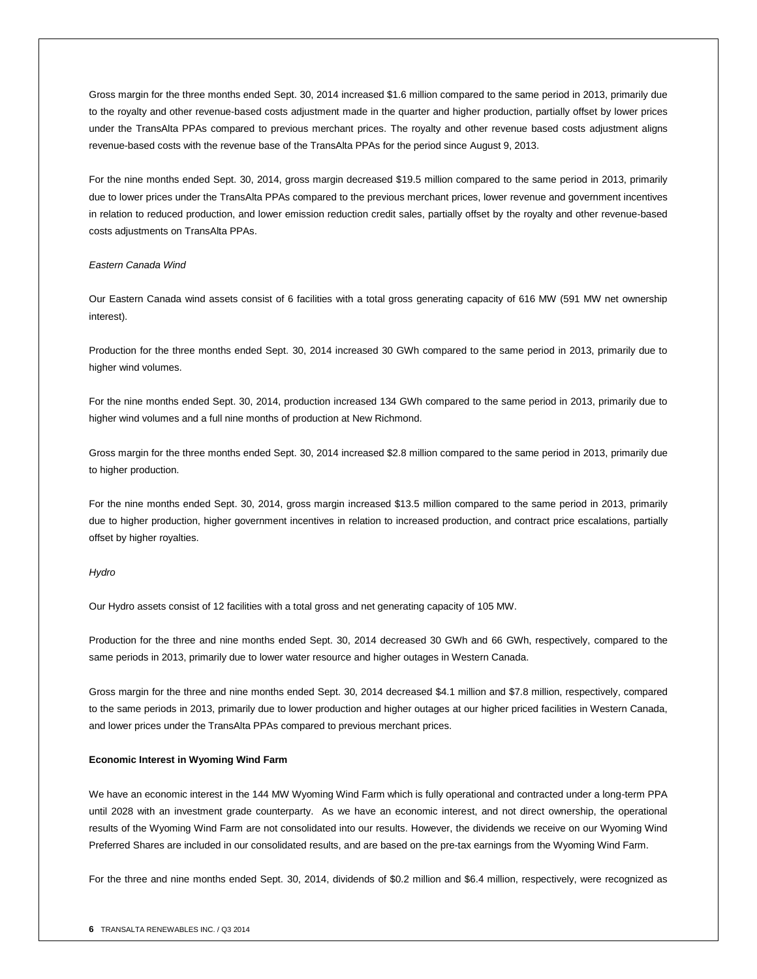Gross margin for the three months ended Sept. 30, 2014 increased \$1.6 million compared to the same period in 2013, primarily due to the royalty and other revenue-based costs adjustment made in the quarter and higher production, partially offset by lower prices under the TransAlta PPAs compared to previous merchant prices. The royalty and other revenue based costs adjustment aligns revenue-based costs with the revenue base of the TransAlta PPAs for the period since August 9, 2013.

For the nine months ended Sept. 30, 2014, gross margin decreased \$19.5 million compared to the same period in 2013, primarily due to lower prices under the TransAlta PPAs compared to the previous merchant prices, lower revenue and government incentives in relation to reduced production, and lower emission reduction credit sales, partially offset by the royalty and other revenue-based costs adjustments on TransAlta PPAs.

## *Eastern Canada Wind*

Our Eastern Canada wind assets consist of 6 facilities with a total gross generating capacity of 616 MW (591 MW net ownership interest).

Production for the three months ended Sept. 30, 2014 increased 30 GWh compared to the same period in 2013, primarily due to higher wind volumes.

For the nine months ended Sept. 30, 2014, production increased 134 GWh compared to the same period in 2013, primarily due to higher wind volumes and a full nine months of production at New Richmond.

Gross margin for the three months ended Sept. 30, 2014 increased \$2.8 million compared to the same period in 2013, primarily due to higher production.

For the nine months ended Sept. 30, 2014, gross margin increased \$13.5 million compared to the same period in 2013, primarily due to higher production, higher government incentives in relation to increased production, and contract price escalations, partially offset by higher royalties.

## *Hydro*

Our Hydro assets consist of 12 facilities with a total gross and net generating capacity of 105 MW.

Production for the three and nine months ended Sept. 30, 2014 decreased 30 GWh and 66 GWh, respectively, compared to the same periods in 2013, primarily due to lower water resource and higher outages in Western Canada.

Gross margin for the three and nine months ended Sept. 30, 2014 decreased \$4.1 million and \$7.8 million, respectively, compared to the same periods in 2013, primarily due to lower production and higher outages at our higher priced facilities in Western Canada, and lower prices under the TransAlta PPAs compared to previous merchant prices.

#### **Economic Interest in Wyoming Wind Farm**

We have an economic interest in the 144 MW Wyoming Wind Farm which is fully operational and contracted under a long-term PPA until 2028 with an investment grade counterparty. As we have an economic interest, and not direct ownership, the operational results of the Wyoming Wind Farm are not consolidated into our results. However, the dividends we receive on our Wyoming Wind Preferred Shares are included in our consolidated results, and are based on the pre-tax earnings from the Wyoming Wind Farm.

For the three and nine months ended Sept. 30, 2014, dividends of \$0.2 million and \$6.4 million, respectively, were recognized as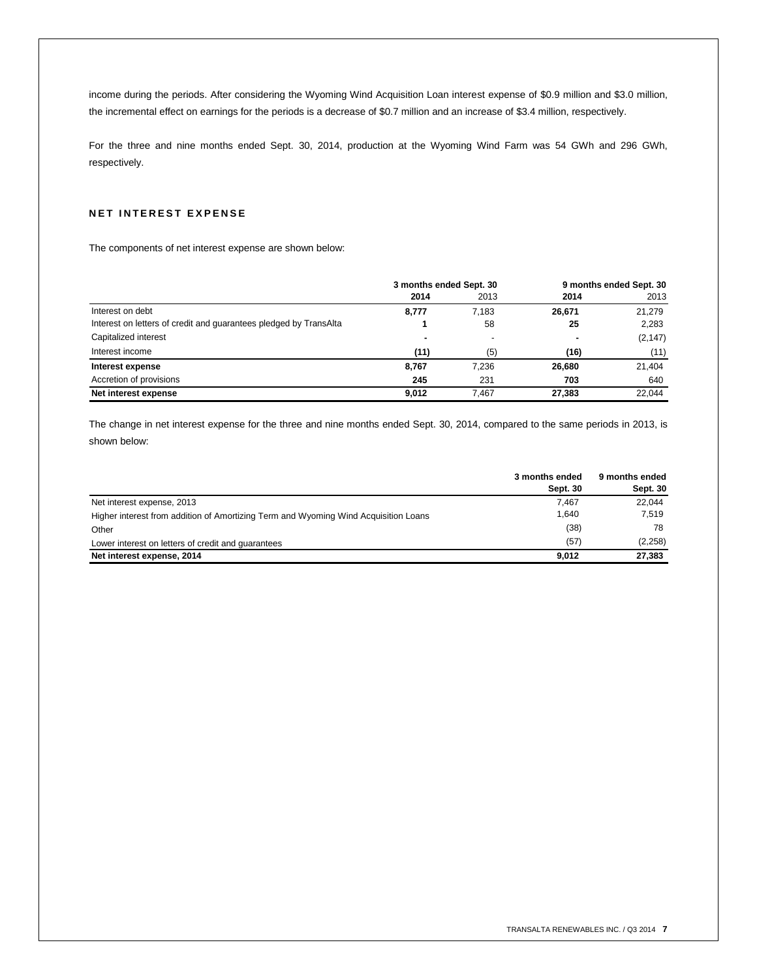income during the periods. After considering the Wyoming Wind Acquisition Loan interest expense of \$0.9 million and \$3.0 million, the incremental effect on earnings for the periods is a decrease of \$0.7 million and an increase of \$3.4 million, respectively.

For the three and nine months ended Sept. 30, 2014, production at the Wyoming Wind Farm was 54 GWh and 296 GWh, respectively.

# **NET INTEREST EXPENSE**

The components of net interest expense are shown below:

|                                                                   | 3 months ended Sept. 30 |       |        | 9 months ended Sept. 30 |
|-------------------------------------------------------------------|-------------------------|-------|--------|-------------------------|
|                                                                   | 2014                    | 2013  | 2014   | 2013                    |
| Interest on debt                                                  | 8,777                   | 7.183 | 26,671 | 21,279                  |
| Interest on letters of credit and quarantees pledged by TransAlta |                         | 58    | 25     | 2,283                   |
| Capitalized interest                                              | ۰                       |       | ۰      | (2, 147)                |
| Interest income                                                   | (11)                    | (5)   | (16)   | (11)                    |
| Interest expense                                                  | 8.767                   | 7.236 | 26,680 | 21,404                  |
| Accretion of provisions                                           | 245                     | 231   | 703    | 640                     |
| Net interest expense                                              | 9.012                   | 7.467 | 27,383 | 22.044                  |

The change in net interest expense for the three and nine months ended Sept. 30, 2014, compared to the same periods in 2013, is shown below:

|                                                                                     | 3 months ended<br>Sept. 30 | 9 months ended<br>Sept. 30 |
|-------------------------------------------------------------------------------------|----------------------------|----------------------------|
| Net interest expense, 2013                                                          | 7.467                      | 22.044                     |
| Higher interest from addition of Amortizing Term and Wyoming Wind Acquisition Loans | 1.640                      | 7.519                      |
| Other                                                                               | (38)                       | 78                         |
| Lower interest on letters of credit and quarantees                                  | (57)                       | (2,258)                    |
| Net interest expense, 2014                                                          | 9.012                      | 27,383                     |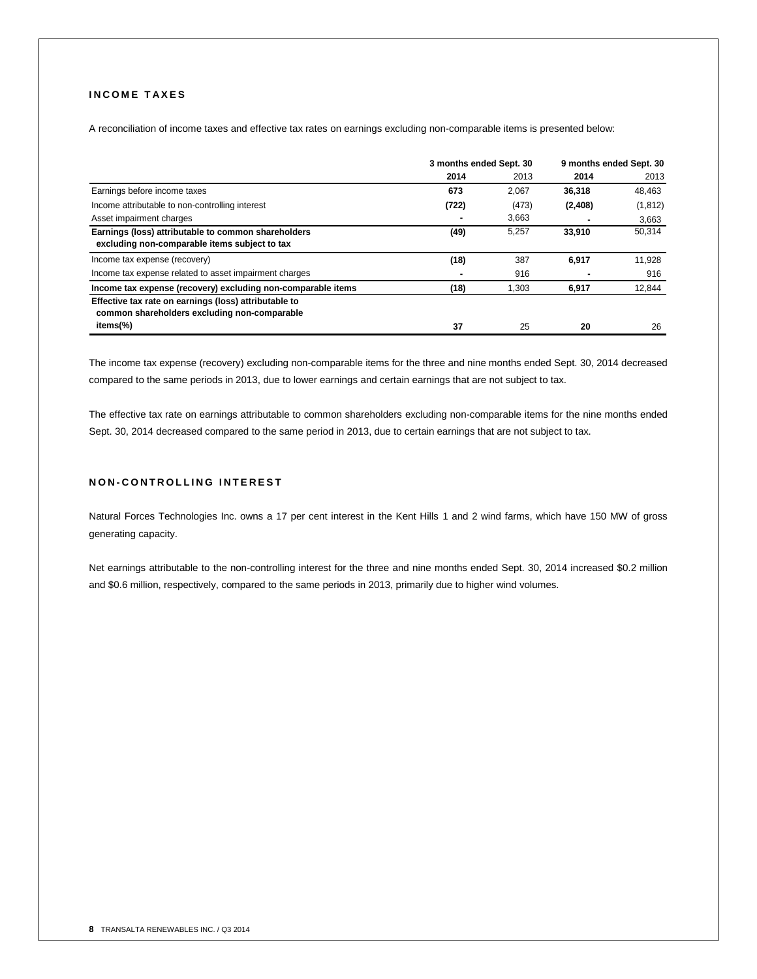# **I N C O M E T A X E S**

A reconciliation of income taxes and effective tax rates on earnings excluding non-comparable items is presented below:

|                                                                                                       | 3 months ended Sept. 30 |       | 9 months ended Sept. 30 |          |
|-------------------------------------------------------------------------------------------------------|-------------------------|-------|-------------------------|----------|
|                                                                                                       | 2014                    | 2013  | 2014                    | 2013     |
| Earnings before income taxes                                                                          | 673                     | 2,067 | 36,318                  | 48,463   |
| Income attributable to non-controlling interest                                                       | (722)                   | (473) | (2, 408)                | (1, 812) |
| Asset impairment charges                                                                              |                         | 3,663 |                         | 3,663    |
| Earnings (loss) attributable to common shareholders<br>excluding non-comparable items subject to tax  | (49)                    | 5.257 | 33,910                  | 50,314   |
| Income tax expense (recovery)                                                                         | (18)                    | 387   | 6.917                   | 11,928   |
| Income tax expense related to asset impairment charges                                                |                         | 916   |                         | 916      |
| Income tax expense (recovery) excluding non-comparable items                                          | (18)                    | 1,303 | 6,917                   | 12,844   |
| Effective tax rate on earnings (loss) attributable to<br>common shareholders excluding non-comparable |                         |       |                         |          |
| items(%)                                                                                              | 37                      | 25    | 20                      | 26       |

The income tax expense (recovery) excluding non-comparable items for the three and nine months ended Sept. 30, 2014 decreased compared to the same periods in 2013, due to lower earnings and certain earnings that are not subject to tax.

The effective tax rate on earnings attributable to common shareholders excluding non-comparable items for the nine months ended Sept. 30, 2014 decreased compared to the same period in 2013, due to certain earnings that are not subject to tax.

# **N O N - C O N T R O L L I N G I N T E R E S T**

Natural Forces Technologies Inc. owns a 17 per cent interest in the Kent Hills 1 and 2 wind farms, which have 150 MW of gross generating capacity.

Net earnings attributable to the non-controlling interest for the three and nine months ended Sept. 30, 2014 increased \$0.2 million and \$0.6 million, respectively, compared to the same periods in 2013, primarily due to higher wind volumes.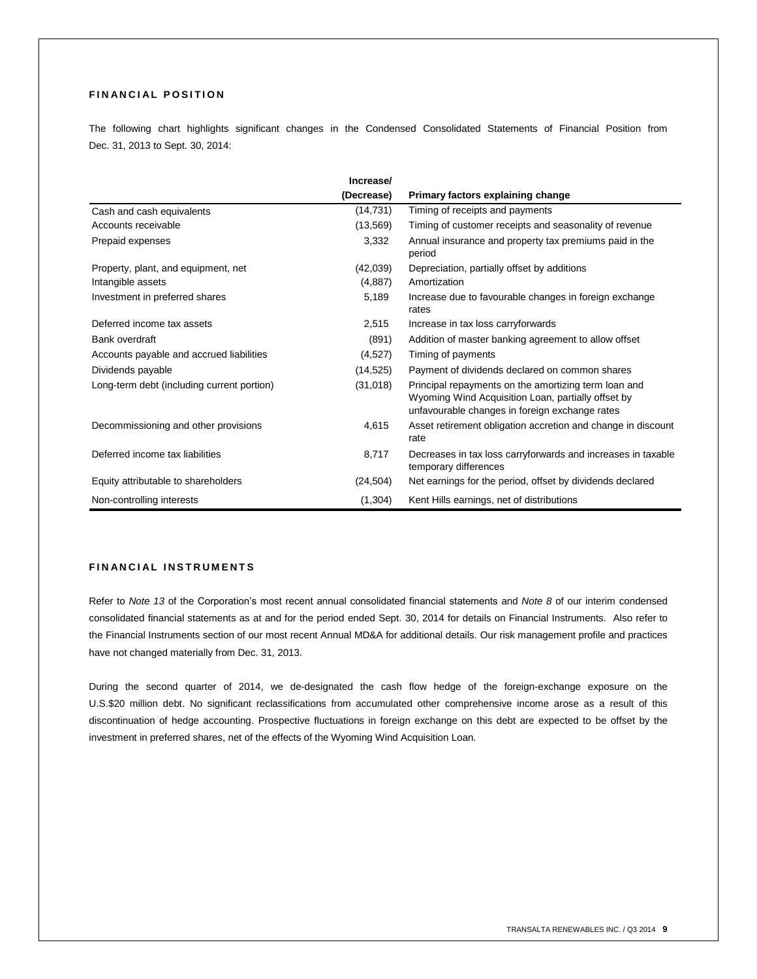# **FINANCIAL POSITION**

The following chart highlights significant changes in the Condensed Consolidated Statements of Financial Position from Dec. 31, 2013 to Sept. 30, 2014:

|                                            | Increase/  |                                                                                                                                                              |
|--------------------------------------------|------------|--------------------------------------------------------------------------------------------------------------------------------------------------------------|
|                                            | (Decrease) | Primary factors explaining change                                                                                                                            |
| Cash and cash equivalents                  | (14, 731)  | Timing of receipts and payments                                                                                                                              |
| Accounts receivable                        | (13, 569)  | Timing of customer receipts and seasonality of revenue                                                                                                       |
| Prepaid expenses                           | 3,332      | Annual insurance and property tax premiums paid in the<br>period                                                                                             |
| Property, plant, and equipment, net        | (42,039)   | Depreciation, partially offset by additions                                                                                                                  |
| Intangible assets                          | (4,887)    | Amortization                                                                                                                                                 |
| Investment in preferred shares             | 5,189      | Increase due to favourable changes in foreign exchange<br>rates                                                                                              |
| Deferred income tax assets                 | 2,515      | Increase in tax loss carryforwards                                                                                                                           |
| Bank overdraft                             | (891)      | Addition of master banking agreement to allow offset                                                                                                         |
| Accounts payable and accrued liabilities   | (4,527)    | Timing of payments                                                                                                                                           |
| Dividends payable                          | (14, 525)  | Payment of dividends declared on common shares                                                                                                               |
| Long-term debt (including current portion) | (31,018)   | Principal repayments on the amortizing term loan and<br>Wyoming Wind Acquisition Loan, partially offset by<br>unfavourable changes in foreign exchange rates |
| Decommissioning and other provisions       | 4,615      | Asset retirement obligation accretion and change in discount<br>rate                                                                                         |
| Deferred income tax liabilities            | 8,717      | Decreases in tax loss carryforwards and increases in taxable<br>temporary differences                                                                        |
| Equity attributable to shareholders        | (24, 504)  | Net earnings for the period, offset by dividends declared                                                                                                    |
| Non-controlling interests                  | (1, 304)   | Kent Hills earnings, net of distributions                                                                                                                    |

# **FINANCIAL INSTRUMENTS**

Refer to *Note 13* of the Corporation's most recent annual consolidated financial statements and *Note 8* of our interim condensed consolidated financial statements as at and for the period ended Sept. 30, 2014 for details on Financial Instruments. Also refer to the Financial Instruments section of our most recent Annual MD&A for additional details. Our risk management profile and practices have not changed materially from Dec. 31, 2013.

During the second quarter of 2014, we de-designated the cash flow hedge of the foreign-exchange exposure on the U.S.\$20 million debt. No significant reclassifications from accumulated other comprehensive income arose as a result of this discontinuation of hedge accounting. Prospective fluctuations in foreign exchange on this debt are expected to be offset by the investment in preferred shares, net of the effects of the Wyoming Wind Acquisition Loan.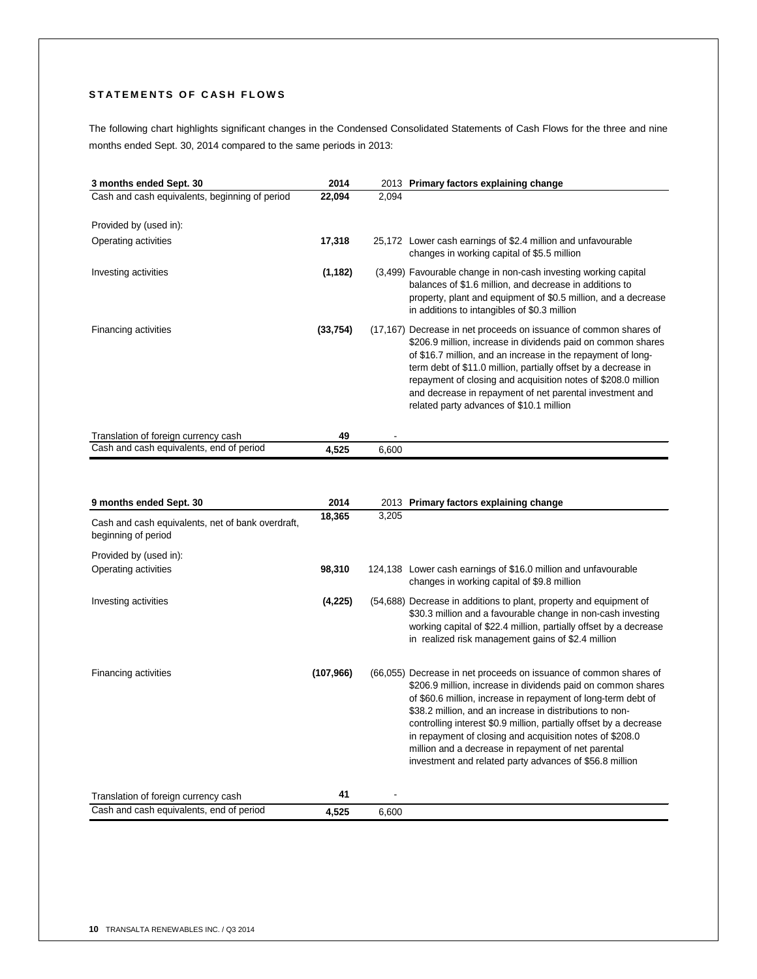# STATEMENTS OF CASH FLOWS

The following chart highlights significant changes in the Condensed Consolidated Statements of Cash Flows for the three and nine months ended Sept. 30, 2014 compared to the same periods in 2013:

| 3 months ended Sept. 30                        | 2014     |       | 2013 Primary factors explaining change                                                                                                                                                                                                                                                                                                                                                                                                       |
|------------------------------------------------|----------|-------|----------------------------------------------------------------------------------------------------------------------------------------------------------------------------------------------------------------------------------------------------------------------------------------------------------------------------------------------------------------------------------------------------------------------------------------------|
| Cash and cash equivalents, beginning of period | 22,094   | 2,094 |                                                                                                                                                                                                                                                                                                                                                                                                                                              |
| Provided by (used in):                         |          |       |                                                                                                                                                                                                                                                                                                                                                                                                                                              |
| Operating activities                           | 17,318   |       | 25,172 Lower cash earnings of \$2.4 million and unfavourable<br>changes in working capital of \$5.5 million                                                                                                                                                                                                                                                                                                                                  |
| Investing activities                           | (1, 182) |       | (3,499) Favourable change in non-cash investing working capital<br>balances of \$1.6 million, and decrease in additions to<br>property, plant and equipment of \$0.5 million, and a decrease<br>in additions to intangibles of \$0.3 million                                                                                                                                                                                                 |
| Financing activities                           | (33,754) |       | (17,167) Decrease in net proceeds on issuance of common shares of<br>\$206.9 million, increase in dividends paid on common shares<br>of \$16.7 million, and an increase in the repayment of long-<br>term debt of \$11.0 million, partially offset by a decrease in<br>repayment of closing and acquisition notes of \$208.0 million<br>and decrease in repayment of net parental investment and<br>related party advances of \$10.1 million |
| Translation of foreign currency cash           | 49       |       |                                                                                                                                                                                                                                                                                                                                                                                                                                              |
| Cash and cash equivalents, end of period       | 4,525    | 6,600 |                                                                                                                                                                                                                                                                                                                                                                                                                                              |

| 9 months ended Sept. 30                                                  | 2014       |       | 2013 Primary factors explaining change                                                                                                                                                                                                                                                                                                                                                                                                                                                                             |
|--------------------------------------------------------------------------|------------|-------|--------------------------------------------------------------------------------------------------------------------------------------------------------------------------------------------------------------------------------------------------------------------------------------------------------------------------------------------------------------------------------------------------------------------------------------------------------------------------------------------------------------------|
| Cash and cash equivalents, net of bank overdraft,<br>beginning of period | 18,365     | 3,205 |                                                                                                                                                                                                                                                                                                                                                                                                                                                                                                                    |
| Provided by (used in):                                                   |            |       |                                                                                                                                                                                                                                                                                                                                                                                                                                                                                                                    |
| Operating activities                                                     | 98,310     |       | 124,138 Lower cash earnings of \$16.0 million and unfavourable<br>changes in working capital of \$9.8 million                                                                                                                                                                                                                                                                                                                                                                                                      |
| Investing activities                                                     | (4,225)    |       | (54,688) Decrease in additions to plant, property and equipment of<br>\$30.3 million and a favourable change in non-cash investing<br>working capital of \$22.4 million, partially offset by a decrease<br>in realized risk management gains of \$2.4 million                                                                                                                                                                                                                                                      |
| Financing activities                                                     | (107, 966) |       | (66,055) Decrease in net proceeds on issuance of common shares of<br>\$206.9 million, increase in dividends paid on common shares<br>of \$60.6 million, increase in repayment of long-term debt of<br>\$38.2 million, and an increase in distributions to non-<br>controlling interest \$0.9 million, partially offset by a decrease<br>in repayment of closing and acquisition notes of \$208.0<br>million and a decrease in repayment of net parental<br>investment and related party advances of \$56.8 million |
| Translation of foreign currency cash                                     | 41         |       |                                                                                                                                                                                                                                                                                                                                                                                                                                                                                                                    |
| Cash and cash equivalents, end of period                                 | 4,525      | 6,600 |                                                                                                                                                                                                                                                                                                                                                                                                                                                                                                                    |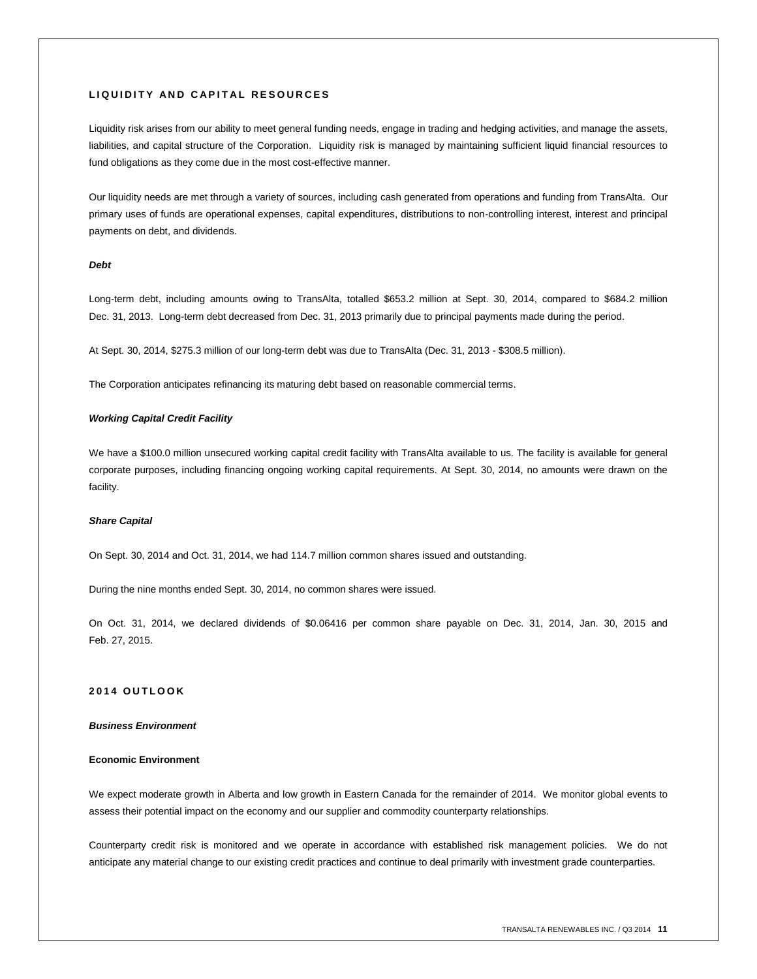## **L I Q U I D I T Y A N D C A P I T A L R E S O U R C E S**

Liquidity risk arises from our ability to meet general funding needs, engage in trading and hedging activities, and manage the assets, liabilities, and capital structure of the Corporation. Liquidity risk is managed by maintaining sufficient liquid financial resources to fund obligations as they come due in the most cost-effective manner.

Our liquidity needs are met through a variety of sources, including cash generated from operations and funding from TransAlta. Our primary uses of funds are operational expenses, capital expenditures, distributions to non-controlling interest, interest and principal payments on debt, and dividends.

## *Debt*

Long-term debt, including amounts owing to TransAlta, totalled \$653.2 million at Sept. 30, 2014, compared to \$684.2 million Dec. 31, 2013. Long-term debt decreased from Dec. 31, 2013 primarily due to principal payments made during the period.

At Sept. 30, 2014, \$275.3 million of our long-term debt was due to TransAlta (Dec. 31, 2013 - \$308.5 million).

The Corporation anticipates refinancing its maturing debt based on reasonable commercial terms.

## *Working Capital Credit Facility*

We have a \$100.0 million unsecured working capital credit facility with TransAlta available to us. The facility is available for general corporate purposes, including financing ongoing working capital requirements. At Sept. 30, 2014, no amounts were drawn on the facility.

#### *Share Capital*

On Sept. 30, 2014 and Oct. 31, 2014, we had 114.7 million common shares issued and outstanding.

During the nine months ended Sept. 30, 2014, no common shares were issued.

On Oct. 31, 2014, we declared dividends of \$0.06416 per common share payable on Dec. 31, 2014, Jan. 30, 2015 and Feb. 27, 2015.

# **201 4 O U T L O O K**

## *Business Environment*

#### **Economic Environment**

We expect moderate growth in Alberta and low growth in Eastern Canada for the remainder of 2014. We monitor global events to assess their potential impact on the economy and our supplier and commodity counterparty relationships.

Counterparty credit risk is monitored and we operate in accordance with established risk management policies. We do not anticipate any material change to our existing credit practices and continue to deal primarily with investment grade counterparties.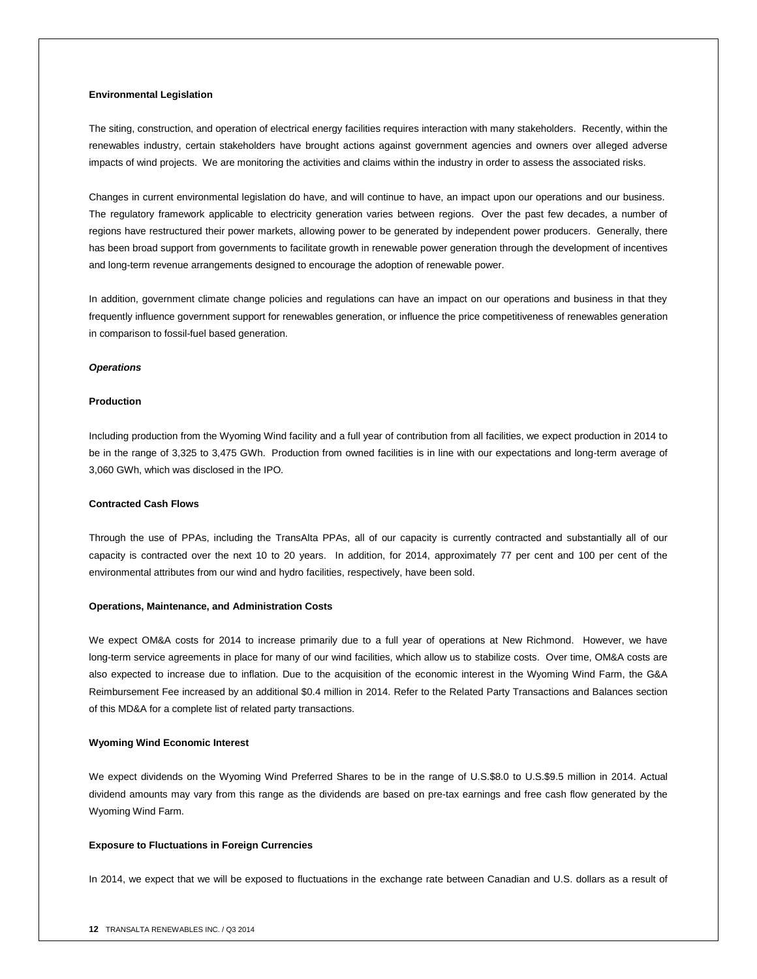## **Environmental Legislation**

The siting, construction, and operation of electrical energy facilities requires interaction with many stakeholders. Recently, within the renewables industry, certain stakeholders have brought actions against government agencies and owners over alleged adverse impacts of wind projects. We are monitoring the activities and claims within the industry in order to assess the associated risks.

Changes in current environmental legislation do have, and will continue to have, an impact upon our operations and our business. The regulatory framework applicable to electricity generation varies between regions. Over the past few decades, a number of regions have restructured their power markets, allowing power to be generated by independent power producers. Generally, there has been broad support from governments to facilitate growth in renewable power generation through the development of incentives and long-term revenue arrangements designed to encourage the adoption of renewable power.

In addition, government climate change policies and regulations can have an impact on our operations and business in that they frequently influence government support for renewables generation, or influence the price competitiveness of renewables generation in comparison to fossil-fuel based generation.

#### *Operations*

## **Production**

Including production from the Wyoming Wind facility and a full year of contribution from all facilities, we expect production in 2014 to be in the range of 3,325 to 3,475 GWh. Production from owned facilities is in line with our expectations and long-term average of 3,060 GWh, which was disclosed in the IPO.

# **Contracted Cash Flows**

Through the use of PPAs, including the TransAlta PPAs, all of our capacity is currently contracted and substantially all of our capacity is contracted over the next 10 to 20 years. In addition, for 2014, approximately 77 per cent and 100 per cent of the environmental attributes from our wind and hydro facilities, respectively, have been sold.

#### **Operations, Maintenance, and Administration Costs**

We expect OM&A costs for 2014 to increase primarily due to a full year of operations at New Richmond. However, we have long-term service agreements in place for many of our wind facilities, which allow us to stabilize costs. Over time, OM&A costs are also expected to increase due to inflation. Due to the acquisition of the economic interest in the Wyoming Wind Farm, the G&A Reimbursement Fee increased by an additional \$0.4 million in 2014. Refer to the Related Party Transactions and Balances section of this MD&A for a complete list of related party transactions.

#### **Wyoming Wind Economic Interest**

We expect dividends on the Wyoming Wind Preferred Shares to be in the range of U.S.\$8.0 to U.S.\$9.5 million in 2014. Actual dividend amounts may vary from this range as the dividends are based on pre-tax earnings and free cash flow generated by the Wyoming Wind Farm.

#### **Exposure to Fluctuations in Foreign Currencies**

In 2014, we expect that we will be exposed to fluctuations in the exchange rate between Canadian and U.S. dollars as a result of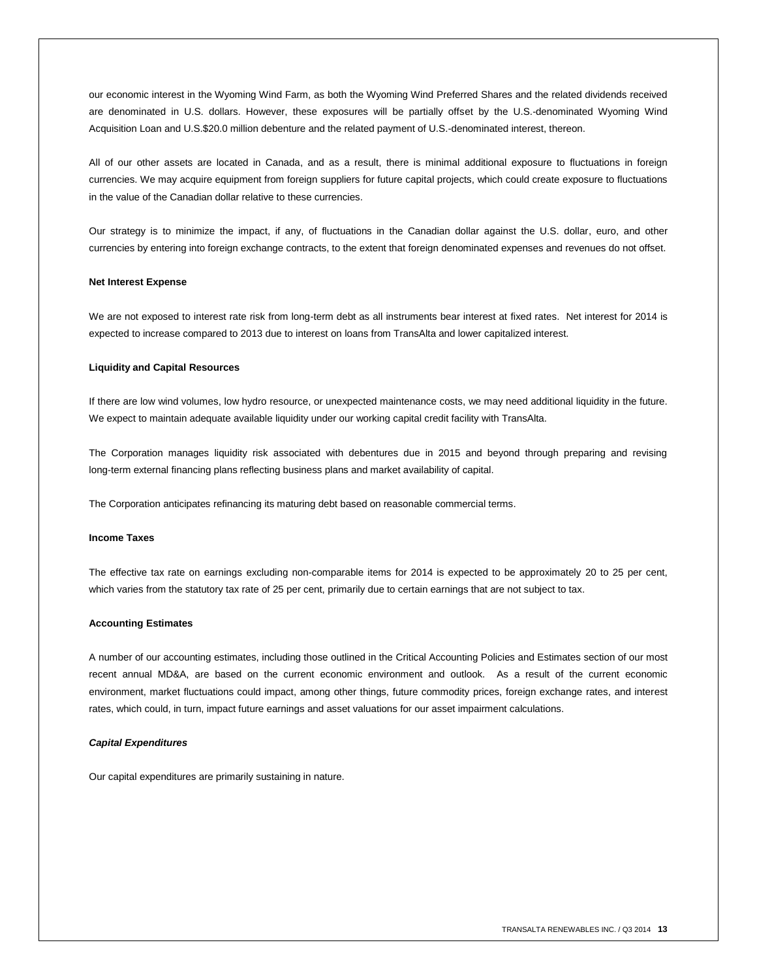our economic interest in the Wyoming Wind Farm, as both the Wyoming Wind Preferred Shares and the related dividends received are denominated in U.S. dollars. However, these exposures will be partially offset by the U.S.-denominated Wyoming Wind Acquisition Loan and U.S.\$20.0 million debenture and the related payment of U.S.-denominated interest, thereon.

All of our other assets are located in Canada, and as a result, there is minimal additional exposure to fluctuations in foreign currencies. We may acquire equipment from foreign suppliers for future capital projects, which could create exposure to fluctuations in the value of the Canadian dollar relative to these currencies.

Our strategy is to minimize the impact, if any, of fluctuations in the Canadian dollar against the U.S. dollar, euro, and other currencies by entering into foreign exchange contracts, to the extent that foreign denominated expenses and revenues do not offset.

#### **Net Interest Expense**

We are not exposed to interest rate risk from long-term debt as all instruments bear interest at fixed rates. Net interest for 2014 is expected to increase compared to 2013 due to interest on loans from TransAlta and lower capitalized interest.

## **Liquidity and Capital Resources**

If there are low wind volumes, low hydro resource, or unexpected maintenance costs, we may need additional liquidity in the future. We expect to maintain adequate available liquidity under our working capital credit facility with TransAlta.

The Corporation manages liquidity risk associated with debentures due in 2015 and beyond through preparing and revising long-term external financing plans reflecting business plans and market availability of capital.

The Corporation anticipates refinancing its maturing debt based on reasonable commercial terms.

#### **Income Taxes**

The effective tax rate on earnings excluding non-comparable items for 2014 is expected to be approximately 20 to 25 per cent, which varies from the statutory tax rate of 25 per cent, primarily due to certain earnings that are not subject to tax.

### **Accounting Estimates**

A number of our accounting estimates, including those outlined in the Critical Accounting Policies and Estimates section of our most recent annual MD&A, are based on the current economic environment and outlook. As a result of the current economic environment, market fluctuations could impact, among other things, future commodity prices, foreign exchange rates, and interest rates, which could, in turn, impact future earnings and asset valuations for our asset impairment calculations.

#### *Capital Expenditures*

Our capital expenditures are primarily sustaining in nature.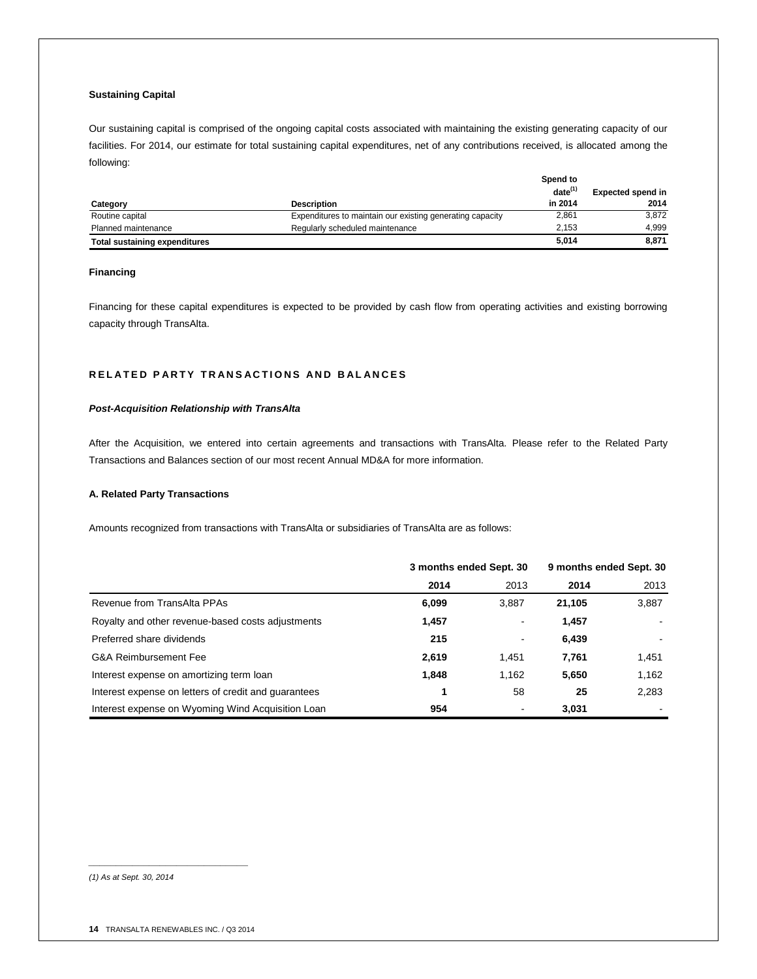# **Sustaining Capital**

Our sustaining capital is comprised of the ongoing capital costs associated with maintaining the existing generating capacity of our facilities. For 2014, our estimate for total sustaining capital expenditures, net of any contributions received, is allocated among the following:

|                                      |                                                           | Spend to     |                          |
|--------------------------------------|-----------------------------------------------------------|--------------|--------------------------|
|                                      |                                                           | $date^{(1)}$ | <b>Expected spend in</b> |
| Category                             | <b>Description</b>                                        | in 2014      | 2014                     |
| Routine capital                      | Expenditures to maintain our existing generating capacity | 2,861        | 3.872                    |
| Planned maintenance                  | Regularly scheduled maintenance                           | 2.153        | 4.999                    |
| <b>Total sustaining expenditures</b> |                                                           | 5.014        | 8,871                    |

# **Financing**

Financing for these capital expenditures is expected to be provided by cash flow from operating activities and existing borrowing capacity through TransAlta.

# **RELATED PARTY TRANSACTIONS AND BALANCES**

## *Post-Acquisition Relationship with TransAlta*

After the Acquisition, we entered into certain agreements and transactions with TransAlta. Please refer to the Related Party Transactions and Balances section of our most recent Annual MD&A for more information.

## **A. Related Party Transactions**

Amounts recognized from transactions with TransAlta or subsidiaries of TransAlta are as follows:

|                                                      | 3 months ended Sept. 30 |       | 9 months ended Sept. 30 |       |
|------------------------------------------------------|-------------------------|-------|-------------------------|-------|
|                                                      | 2014                    | 2013  | 2014                    | 2013  |
| Revenue from TransAlta PPAs                          | 6,099                   | 3.887 | 21.105                  | 3,887 |
| Royalty and other revenue-based costs adjustments    | 1,457                   |       | 1,457                   |       |
| Preferred share dividends                            | 215                     |       | 6,439                   |       |
| G&A Reimbursement Fee                                | 2,619                   | 1.451 | 7,761                   | 1,451 |
| Interest expense on amortizing term loan             | 1,848                   | 1.162 | 5,650                   | 1,162 |
| Interest expense on letters of credit and quarantees |                         | 58    | 25                      | 2,283 |
| Interest expense on Wyoming Wind Acquisition Loan    | 954                     |       | 3,031                   |       |

*(1) As at Sept. 30, 2014*

*\_\_\_\_\_\_\_\_\_\_\_\_\_\_\_\_\_\_\_\_\_\_\_\_\_\_\_\_\_*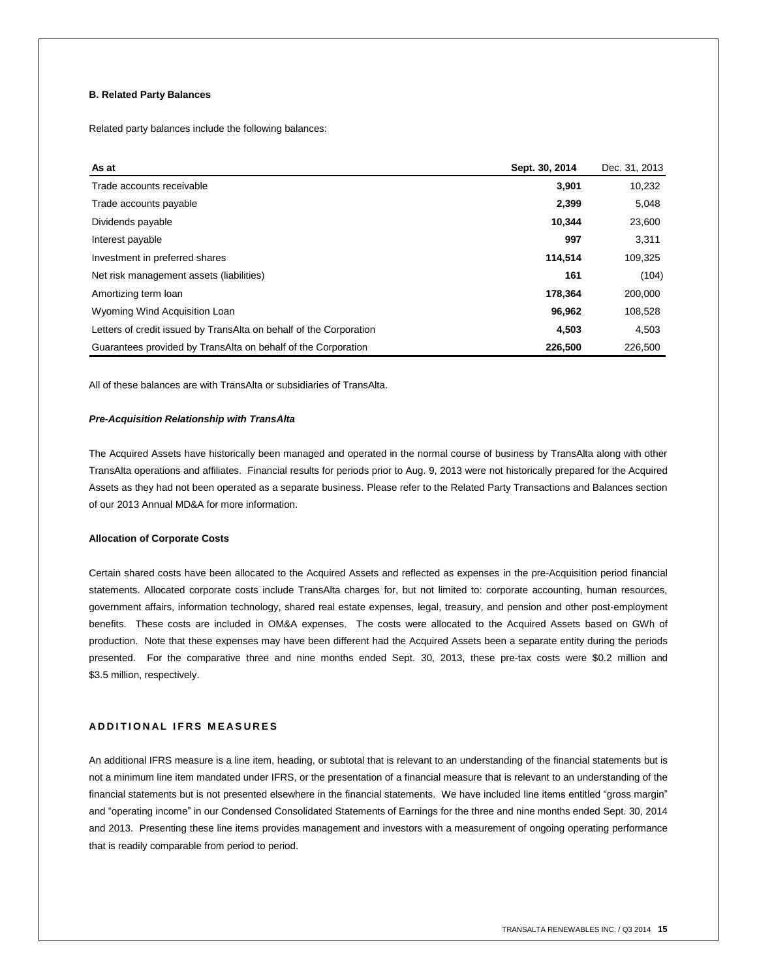# **B. Related Party Balances**

Related party balances include the following balances:

| As at                                                              | Sept. 30, 2014 | Dec. 31, 2013 |
|--------------------------------------------------------------------|----------------|---------------|
| Trade accounts receivable                                          | 3,901          | 10,232        |
| Trade accounts payable                                             | 2,399          | 5,048         |
| Dividends payable                                                  | 10,344         | 23,600        |
| Interest payable                                                   | 997            | 3,311         |
| Investment in preferred shares                                     | 114,514        | 109,325       |
| Net risk management assets (liabilities)                           | 161            | (104)         |
| Amortizing term loan                                               | 178.364        | 200,000       |
| Wyoming Wind Acquisition Loan                                      | 96,962         | 108,528       |
| Letters of credit issued by TransAlta on behalf of the Corporation | 4,503          | 4,503         |
| Guarantees provided by TransAlta on behalf of the Corporation      | 226,500        | 226,500       |

All of these balances are with TransAlta or subsidiaries of TransAlta.

## *Pre-Acquisition Relationship with TransAlta*

The Acquired Assets have historically been managed and operated in the normal course of business by TransAlta along with other TransAlta operations and affiliates. Financial results for periods prior to Aug. 9, 2013 were not historically prepared for the Acquired Assets as they had not been operated as a separate business. Please refer to the Related Party Transactions and Balances section of our 2013 Annual MD&A for more information.

## **Allocation of Corporate Costs**

Certain shared costs have been allocated to the Acquired Assets and reflected as expenses in the pre-Acquisition period financial statements. Allocated corporate costs include TransAlta charges for, but not limited to: corporate accounting, human resources, government affairs, information technology, shared real estate expenses, legal, treasury, and pension and other post-employment benefits. These costs are included in OM&A expenses. The costs were allocated to the Acquired Assets based on GWh of production. Note that these expenses may have been different had the Acquired Assets been a separate entity during the periods presented. For the comparative three and nine months ended Sept. 30, 2013, these pre-tax costs were \$0.2 million and \$3.5 million, respectively.

## **A D D I T I O N A L I F R S M E A S U R E S**

An additional IFRS measure is a line item, heading, or subtotal that is relevant to an understanding of the financial statements but is not a minimum line item mandated under IFRS, or the presentation of a financial measure that is relevant to an understanding of the financial statements but is not presented elsewhere in the financial statements. We have included line items entitled "gross margin" and "operating income" in our Condensed Consolidated Statements of Earnings for the three and nine months ended Sept. 30, 2014 and 2013. Presenting these line items provides management and investors with a measurement of ongoing operating performance that is readily comparable from period to period.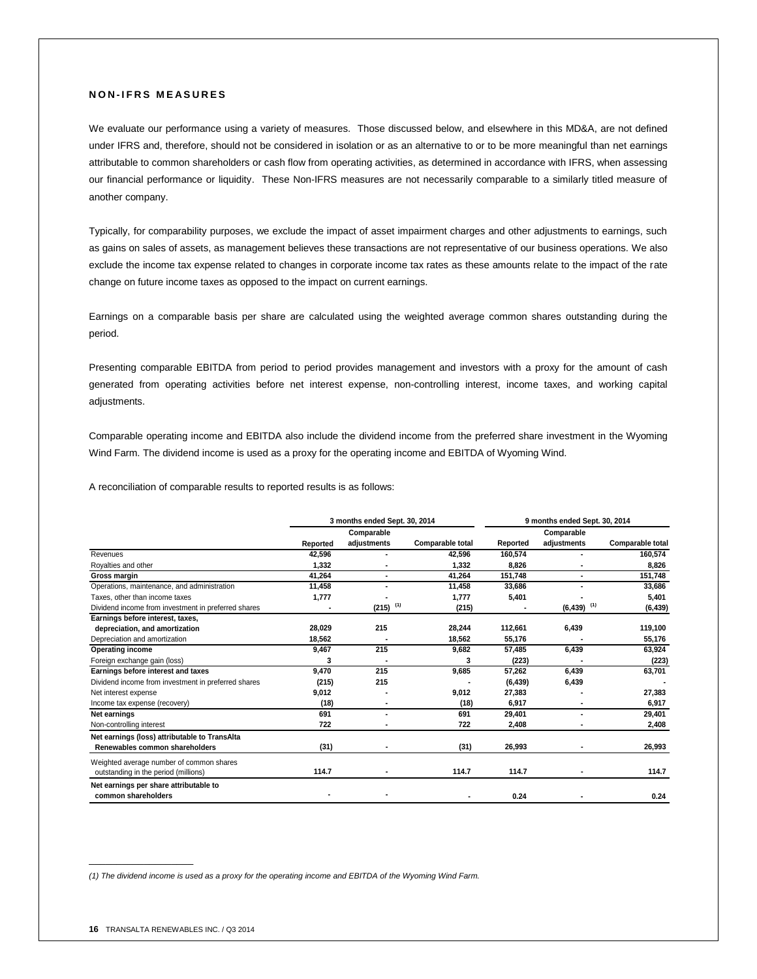## **N O N - I F R S M E A S U R E S**

We evaluate our performance using a variety of measures. Those discussed below, and elsewhere in this MD&A, are not defined under IFRS and, therefore, should not be considered in isolation or as an alternative to or to be more meaningful than net earnings attributable to common shareholders or cash flow from operating activities, as determined in accordance with IFRS, when assessing our financial performance or liquidity. These Non-IFRS measures are not necessarily comparable to a similarly titled measure of another company.

Typically, for comparability purposes, we exclude the impact of asset impairment charges and other adjustments to earnings, such as gains on sales of assets, as management believes these transactions are not representative of our business operations. We also exclude the income tax expense related to changes in corporate income tax rates as these amounts relate to the impact of the rate change on future income taxes as opposed to the impact on current earnings.

Earnings on a comparable basis per share are calculated using the weighted average common shares outstanding during the period.

Presenting comparable EBITDA from period to period provides management and investors with a proxy for the amount of cash generated from operating activities before net interest expense, non-controlling interest, income taxes, and working capital adjustments.

Comparable operating income and EBITDA also include the dividend income from the preferred share investment in the Wyoming Wind Farm. The dividend income is used as a proxy for the operating income and EBITDA of Wyoming Wind.

A reconciliation of comparable results to reported results is as follows:

|                                                     | 3 months ended Sept. 30, 2014 |                        |                  | 9 months ended Sept. 30, 2014 |                           |                  |
|-----------------------------------------------------|-------------------------------|------------------------|------------------|-------------------------------|---------------------------|------------------|
|                                                     |                               | Comparable             |                  |                               | Comparable                |                  |
|                                                     | Reported                      | adjustments            | Comparable total | Reported                      | adjustments               | Comparable total |
| Revenues                                            | 42.596                        |                        | 42.596           | 160.574                       |                           | 160,574          |
| Royalties and other                                 | 1,332                         |                        | 1,332            | 8,826                         |                           | 8,826            |
| Gross margin                                        | 41,264                        |                        | 41,264           | 151,748                       |                           | 151,748          |
| Operations, maintenance, and administration         | 11,458                        |                        | 11,458           | 33,686                        |                           | 33,686           |
| Taxes, other than income taxes                      | 1,777                         |                        | 1,777            | 5,401                         |                           | 5,401            |
| Dividend income from investment in preferred shares |                               | $(215)$ <sup>(1)</sup> | (215)            |                               | $(6, 439)$ <sup>(1)</sup> | (6, 439)         |
| Earnings before interest, taxes,                    |                               |                        |                  |                               |                           |                  |
| depreciation, and amortization                      | 28,029                        | 215                    | 28,244           | 112,661                       | 6,439                     | 119,100          |
| Depreciation and amortization                       | 18,562                        |                        | 18,562           | 55,176                        |                           | 55,176           |
| <b>Operating income</b>                             | 9,467                         | 215                    | 9,682            | 57,485                        | 6,439                     | 63,924           |
| Foreign exchange gain (loss)                        | 3                             |                        | 3                | (223)                         |                           | (223)            |
| Earnings before interest and taxes                  | 9.470                         | 215                    | 9,685            | 57.262                        | 6,439                     | 63,701           |
| Dividend income from investment in preferred shares | (215)                         | 215                    |                  | (6, 439)                      | 6,439                     |                  |
| Net interest expense                                | 9,012                         |                        | 9,012            | 27,383                        |                           | 27,383           |
| Income tax expense (recovery)                       | (18)                          |                        | (18)             | 6,917                         |                           | 6,917            |
| Net earnings                                        | 691                           |                        | 691              | 29,401                        |                           | 29,401           |
| Non-controlling interest                            | 722                           |                        | 722              | 2,408                         |                           | 2,408            |
| Net earnings (loss) attributable to TransAlta       |                               |                        |                  |                               |                           |                  |
| Renewables common shareholders                      | (31)                          |                        | (31)             | 26,993                        |                           | 26,993           |
| Weighted average number of common shares            |                               |                        |                  |                               |                           |                  |
| outstanding in the period (millions)                | 114.7                         |                        | 114.7            | 114.7                         |                           | 114.7            |
| Net earnings per share attributable to              |                               |                        |                  |                               |                           |                  |
| common shareholders                                 |                               |                        |                  | 0.24                          |                           | 0.24             |

*(1) The dividend income is used as a proxy for the operating income and EBITDA of the Wyoming Wind Farm.*

 $\mathcal{L}=\mathcal{L}$  , we can also the set of the set of the set of the set of the set of the set of the set of the set of the set of the set of the set of the set of the set of the set of the set of the set of the set of the s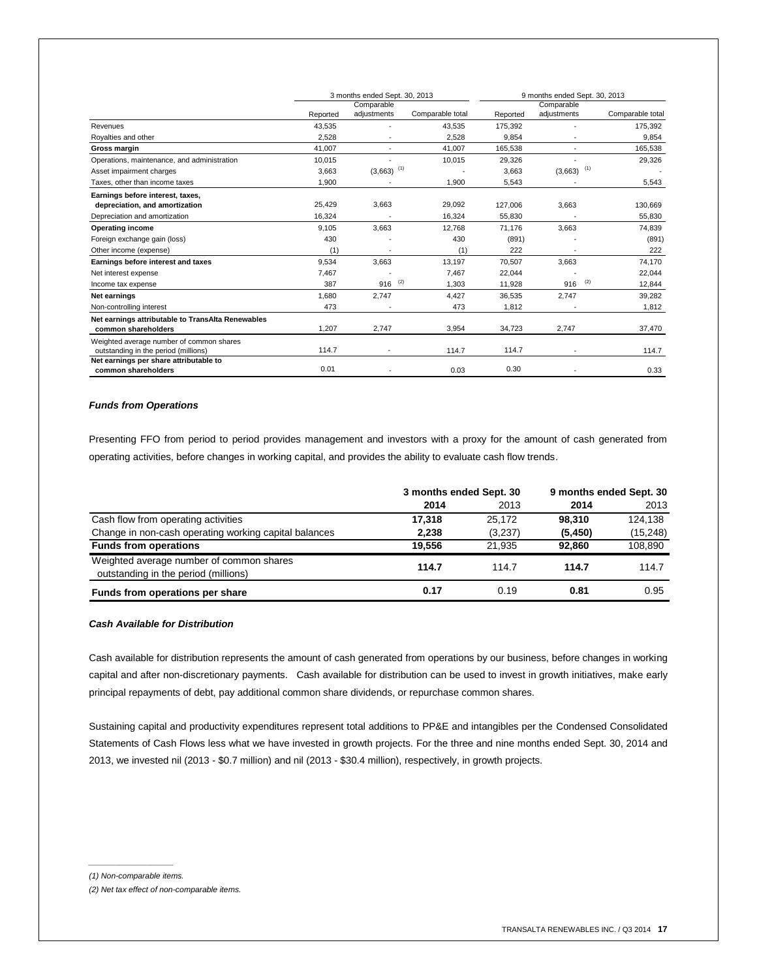|                                                   | 3 months ended Sept. 30, 2013 |                          |                  | 9 months ended Sept. 30, 2013 |                          |                  |
|---------------------------------------------------|-------------------------------|--------------------------|------------------|-------------------------------|--------------------------|------------------|
|                                                   |                               | Comparable               |                  |                               | Comparable               |                  |
|                                                   | Reported                      | adjustments              | Comparable total | Reported                      | adjustments              | Comparable total |
| Revenues                                          | 43,535                        |                          | 43,535           | 175,392                       |                          | 175,392          |
| Royalties and other                               | 2,528                         |                          | 2,528            | 9,854                         |                          | 9,854            |
| Gross margin                                      | 41,007                        | $\overline{\phantom{a}}$ | 41,007           | 165,538                       |                          | 165,538          |
| Operations, maintenance, and administration       | 10.015                        |                          | 10,015           | 29,326                        |                          | 29,326           |
| Asset impairment charges                          | 3,663                         | $(3,663)$ <sup>(1)</sup> |                  | 3,663                         | $(3,663)$ <sup>(1)</sup> |                  |
| Taxes, other than income taxes                    | 1,900                         |                          | 1,900            | 5,543                         |                          | 5,543            |
| Earnings before interest, taxes,                  |                               |                          |                  |                               |                          |                  |
| depreciation, and amortization                    | 25,429                        | 3,663                    | 29,092           | 127.006                       | 3,663                    | 130,669          |
| Depreciation and amortization                     | 16,324                        | ٠                        | 16,324           | 55,830                        |                          | 55,830           |
| <b>Operating income</b>                           | 9.105                         | 3.663                    | 12.768           | 71.176                        | 3.663                    | 74,839           |
| Foreign exchange gain (loss)                      | 430                           |                          | 430              | (891)                         |                          | (891)            |
| Other income (expense)                            | (1)                           |                          | (1)              | 222                           |                          | 222              |
| Earnings before interest and taxes                | 9,534                         | 3,663                    | 13,197           | 70,507                        | 3,663                    | 74,170           |
| Net interest expense                              | 7,467                         |                          | 7.467            | 22,044                        |                          | 22,044           |
| Income tax expense                                | 387                           | (2)<br>916               | 1,303            | 11,928                        | (2)<br>916               | 12,844           |
| Net earnings                                      | 1,680                         | 2.747                    | 4,427            | 36,535                        | 2.747                    | 39,282           |
| Non-controlling interest                          | 473                           |                          | 473              | 1,812                         |                          | 1,812            |
| Net earnings attributable to TransAlta Renewables |                               |                          |                  |                               |                          |                  |
| common shareholders                               | 1,207                         | 2,747                    | 3,954            | 34,723                        | 2,747                    | 37,470           |
| Weighted average number of common shares          |                               |                          |                  |                               |                          |                  |
| outstanding in the period (millions)              | 114.7                         |                          | 114.7            | 114.7                         |                          | 114.7            |
| Net earnings per share attributable to            |                               |                          |                  |                               |                          |                  |
| common shareholders                               | 0.01                          |                          | 0.03             | 0.30                          |                          | 0.33             |

## *Funds from Operations*

Presenting FFO from period to period provides management and investors with a proxy for the amount of cash generated from operating activities, before changes in working capital, and provides the ability to evaluate cash flow trends.

|                                                                                  | 3 months ended Sept. 30 |         | 9 months ended Sept. 30 |           |
|----------------------------------------------------------------------------------|-------------------------|---------|-------------------------|-----------|
|                                                                                  | 2014                    | 2013    | 2014                    | 2013      |
| Cash flow from operating activities                                              | 17.318                  | 25.172  | 98.310                  | 124.138   |
| Change in non-cash operating working capital balances                            | 2,238                   | (3,237) | (5, 450)                | (15, 248) |
| <b>Funds from operations</b>                                                     | 19.556                  | 21.935  | 92.860                  | 108,890   |
| Weighted average number of common shares<br>outstanding in the period (millions) | 114.7                   | 114.7   | 114.7                   | 114.7     |
| Funds from operations per share                                                  | 0.17                    | 0.19    | 0.81                    | 0.95      |

# *Cash Available for Distribution*

Cash available for distribution represents the amount of cash generated from operations by our business, before changes in working capital and after non-discretionary payments. Cash available for distribution can be used to invest in growth initiatives, make early principal repayments of debt, pay additional common share dividends, or repurchase common shares.

Sustaining capital and productivity expenditures represent total additions to PP&E and intangibles per the Condensed Consolidated Statements of Cash Flows less what we have invested in growth projects. For the three and nine months ended Sept. 30, 2014 and 2013, we invested nil (2013 - \$0.7 million) and nil (2013 - \$30.4 million), respectively, in growth projects.

*\_\_\_\_\_\_\_\_\_\_\_\_\_\_\_\_\_\_\_ (1) Non-comparable items.*

*<sup>(2)</sup> Net tax effect of non-comparable items.*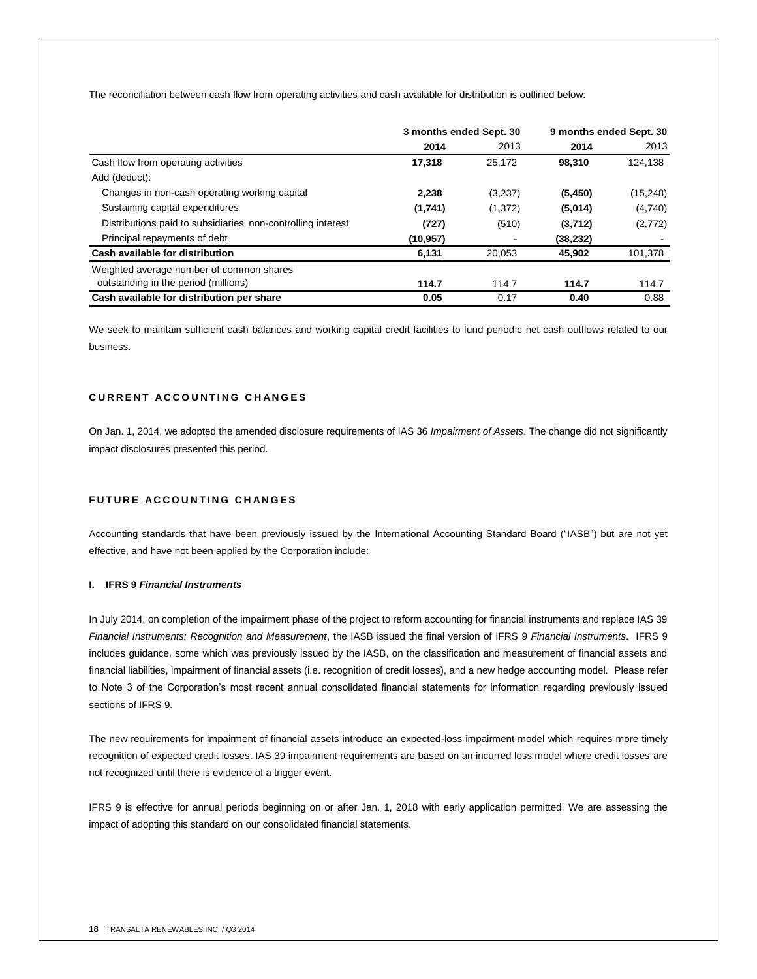The reconciliation between cash flow from operating activities and cash available for distribution is outlined below:

|                                                              | 3 months ended Sept. 30 |         | 9 months ended Sept. 30 |           |
|--------------------------------------------------------------|-------------------------|---------|-------------------------|-----------|
|                                                              | 2014                    | 2013    | 2014                    | 2013      |
| Cash flow from operating activities                          | 17,318                  | 25.172  | 98,310                  | 124,138   |
| Add (deduct):                                                |                         |         |                         |           |
| Changes in non-cash operating working capital                | 2,238                   | (3,237) | (5,450)                 | (15, 248) |
| Sustaining capital expenditures                              | (1,741)                 | (1,372) | (5,014)                 | (4,740)   |
| Distributions paid to subsidiaries' non-controlling interest | (727)                   | (510)   | (3,712)                 | (2,772)   |
| Principal repayments of debt                                 | (10,957)                |         | (38, 232)               |           |
| Cash available for distribution                              | 6.131                   | 20.053  | 45.902                  | 101,378   |
| Weighted average number of common shares                     |                         |         |                         |           |
| outstanding in the period (millions)                         | 114.7                   | 114.7   | 114.7                   | 114.7     |
| Cash available for distribution per share                    | 0.05                    | 0.17    | 0.40                    | 0.88      |

We seek to maintain sufficient cash balances and working capital credit facilities to fund periodic net cash outflows related to our business.

# **C U R R E N T A C C O U N T I N G C H A N G E S**

On Jan. 1, 2014, we adopted the amended disclosure requirements of IAS 36 *Impairment of Assets*. The change did not significantly impact disclosures presented this period.

# **FUTURE ACCOUNTING CHANGES**

Accounting standards that have been previously issued by the International Accounting Standard Board ("IASB") but are not yet effective, and have not been applied by the Corporation include:

# **I. IFRS 9** *Financial Instruments*

In July 2014, on completion of the impairment phase of the project to reform accounting for financial instruments and replace IAS 39 *Financial Instruments: Recognition and Measurement*, the IASB issued the final version of IFRS 9 *Financial Instruments*. IFRS 9 includes guidance, some which was previously issued by the IASB, on the classification and measurement of financial assets and financial liabilities, impairment of financial assets (i.e. recognition of credit losses), and a new hedge accounting model. Please refer to Note 3 of the Corporation's most recent annual consolidated financial statements for information regarding previously issued sections of IFRS 9.

The new requirements for impairment of financial assets introduce an expected-loss impairment model which requires more timely recognition of expected credit losses. IAS 39 impairment requirements are based on an incurred loss model where credit losses are not recognized until there is evidence of a trigger event.

IFRS 9 is effective for annual periods beginning on or after Jan. 1, 2018 with early application permitted. We are assessing the impact of adopting this standard on our consolidated financial statements.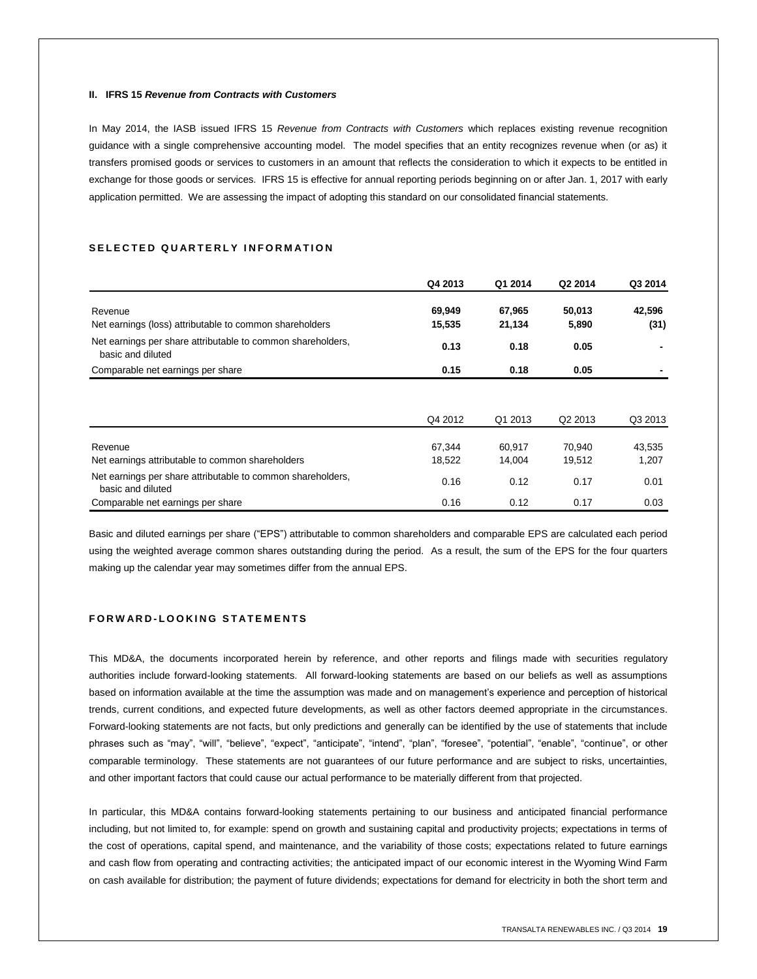#### **II. IFRS 15** *Revenue from Contracts with Customers*

In May 2014, the IASB issued IFRS 15 *Revenue from Contracts with Customers* which replaces existing revenue recognition guidance with a single comprehensive accounting model. The model specifies that an entity recognizes revenue when (or as) it transfers promised goods or services to customers in an amount that reflects the consideration to which it expects to be entitled in exchange for those goods or services. IFRS 15 is effective for annual reporting periods beginning on or after Jan. 1, 2017 with early application permitted. We are assessing the impact of adopting this standard on our consolidated financial statements.

#### SELECTED QUARTERLY INFORMATION

|                                                                                  | Q4 2013 | Q1 2014 | Q2 2014             | Q3 2014 |
|----------------------------------------------------------------------------------|---------|---------|---------------------|---------|
| Revenue                                                                          | 69,949  | 67,965  | 50,013              | 42,596  |
| Net earnings (loss) attributable to common shareholders                          | 15,535  | 21,134  | 5,890               | (31)    |
| Net earnings per share attributable to common shareholders,<br>basic and diluted | 0.13    | 0.18    | 0.05                |         |
| Comparable net earnings per share                                                | 0.15    | 0.18    | 0.05                |         |
|                                                                                  | Q4 2012 | Q1 2013 | Q <sub>2</sub> 2013 | Q3 2013 |
| Revenue                                                                          | 67,344  | 60.917  | 70.940              | 43,535  |
| Net earnings attributable to common shareholders                                 | 18,522  | 14,004  | 19,512              | 1,207   |
| Net earnings per share attributable to common shareholders,<br>basic and diluted | 0.16    | 0.12    | 0.17                | 0.01    |
| Comparable net earnings per share                                                | 0.16    | 0.12    | 0.17                | 0.03    |

Basic and diluted earnings per share ("EPS") attributable to common shareholders and comparable EPS are calculated each period using the weighted average common shares outstanding during the period. As a result, the sum of the EPS for the four quarters making up the calendar year may sometimes differ from the annual EPS.

# **F O R W A R D - L O O K I N G S T A T E M E N T S**

This MD&A, the documents incorporated herein by reference, and other reports and filings made with securities regulatory authorities include forward-looking statements. All forward-looking statements are based on our beliefs as well as assumptions based on information available at the time the assumption was made and on management's experience and perception of historical trends, current conditions, and expected future developments, as well as other factors deemed appropriate in the circumstances. Forward-looking statements are not facts, but only predictions and generally can be identified by the use of statements that include phrases such as "may", "will", "believe", "expect", "anticipate", "intend", "plan", "foresee", "potential", "enable", "continue", or other comparable terminology. These statements are not guarantees of our future performance and are subject to risks, uncertainties, and other important factors that could cause our actual performance to be materially different from that projected.

In particular, this MD&A contains forward-looking statements pertaining to our business and anticipated financial performance including, but not limited to, for example: spend on growth and sustaining capital and productivity projects; expectations in terms of the cost of operations, capital spend, and maintenance, and the variability of those costs; expectations related to future earnings and cash flow from operating and contracting activities; the anticipated impact of our economic interest in the Wyoming Wind Farm on cash available for distribution; the payment of future dividends; expectations for demand for electricity in both the short term and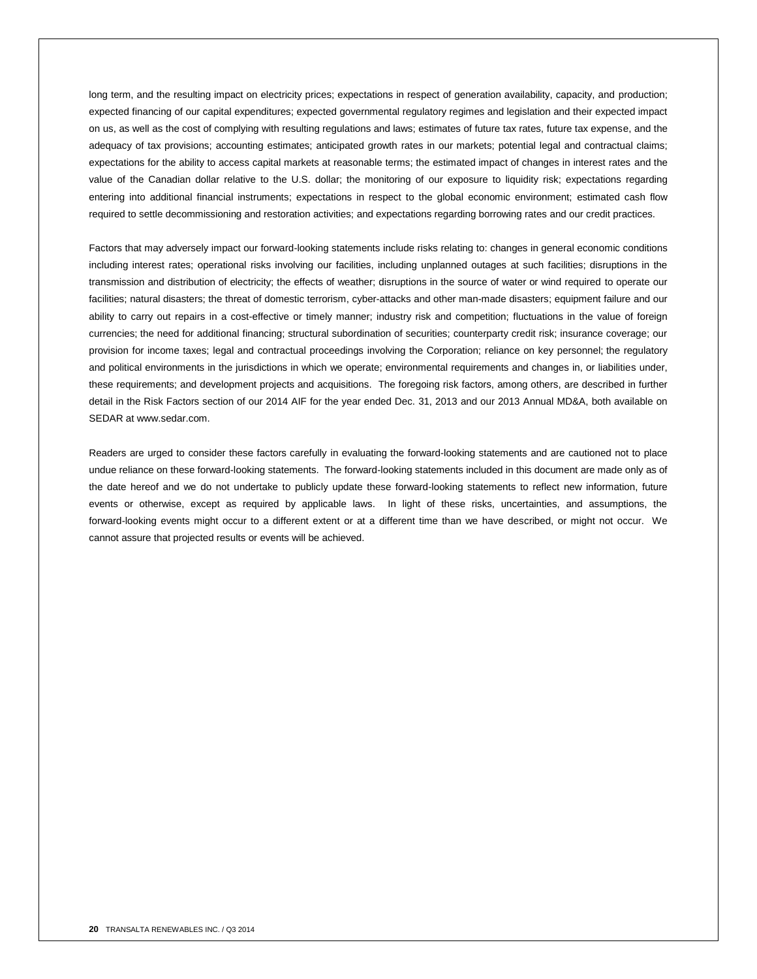long term, and the resulting impact on electricity prices; expectations in respect of generation availability, capacity, and production; expected financing of our capital expenditures; expected governmental regulatory regimes and legislation and their expected impact on us, as well as the cost of complying with resulting regulations and laws; estimates of future tax rates, future tax expense, and the adequacy of tax provisions; accounting estimates; anticipated growth rates in our markets; potential legal and contractual claims; expectations for the ability to access capital markets at reasonable terms; the estimated impact of changes in interest rates and the value of the Canadian dollar relative to the U.S. dollar; the monitoring of our exposure to liquidity risk; expectations regarding entering into additional financial instruments; expectations in respect to the global economic environment; estimated cash flow required to settle decommissioning and restoration activities; and expectations regarding borrowing rates and our credit practices.

Factors that may adversely impact our forward-looking statements include risks relating to: changes in general economic conditions including interest rates; operational risks involving our facilities, including unplanned outages at such facilities; disruptions in the transmission and distribution of electricity; the effects of weather; disruptions in the source of water or wind required to operate our facilities; natural disasters; the threat of domestic terrorism, cyber-attacks and other man-made disasters; equipment failure and our ability to carry out repairs in a cost-effective or timely manner; industry risk and competition; fluctuations in the value of foreign currencies; the need for additional financing; structural subordination of securities; counterparty credit risk; insurance coverage; our provision for income taxes; legal and contractual proceedings involving the Corporation; reliance on key personnel; the regulatory and political environments in the jurisdictions in which we operate; environmental requirements and changes in, or liabilities under, these requirements; and development projects and acquisitions. The foregoing risk factors, among others, are described in further detail in the Risk Factors section of our 2014 AIF for the year ended Dec. 31, 2013 and our 2013 Annual MD&A, both available on SEDAR at www.sedar.com.

Readers are urged to consider these factors carefully in evaluating the forward-looking statements and are cautioned not to place undue reliance on these forward-looking statements. The forward-looking statements included in this document are made only as of the date hereof and we do not undertake to publicly update these forward-looking statements to reflect new information, future events or otherwise, except as required by applicable laws. In light of these risks, uncertainties, and assumptions, the forward-looking events might occur to a different extent or at a different time than we have described, or might not occur. We cannot assure that projected results or events will be achieved.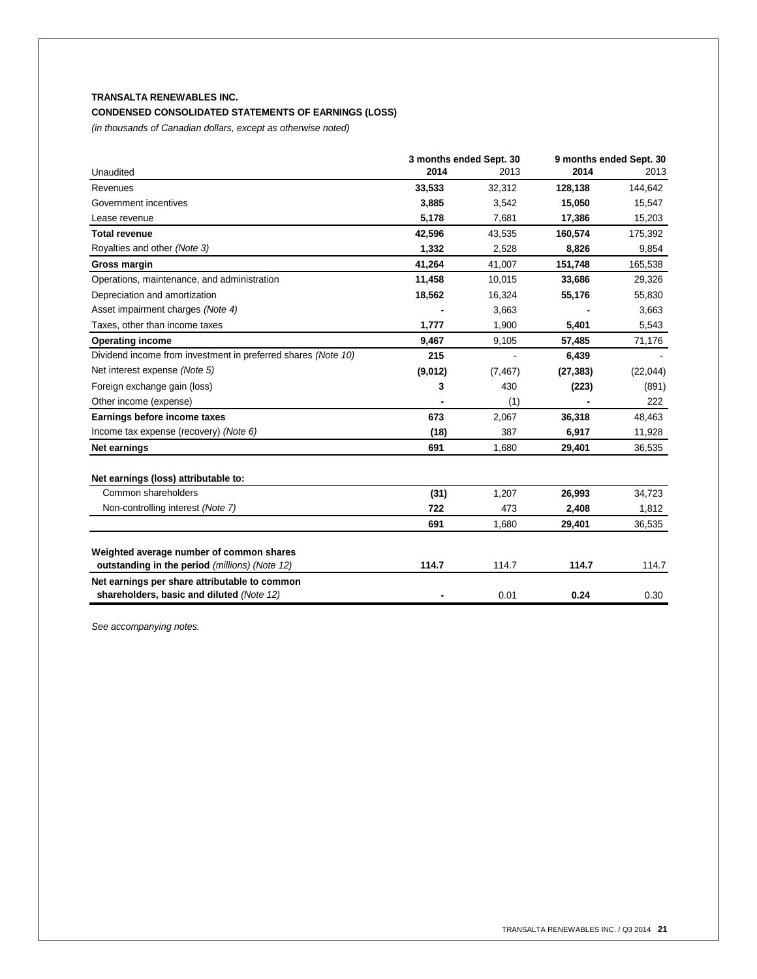# **TRANSALTA RENEWABLES INC.**

# **CONDENSED CONSOLIDATED STATEMENTS OF EARNINGS (LOSS)**

*(in thousands of Canadian dollars, except as otherwise noted)*

|                                                               | 3 months ended Sept. 30 |          | 9 months ended Sept. 30 |          |
|---------------------------------------------------------------|-------------------------|----------|-------------------------|----------|
| Unaudited                                                     | 2014                    | 2013     | 2014                    | 2013     |
| Revenues                                                      | 33,533                  | 32,312   | 128,138                 | 144,642  |
| Government incentives                                         | 3,885                   | 3,542    | 15,050                  | 15,547   |
| Lease revenue                                                 | 5,178                   | 7,681    | 17,386                  | 15,203   |
| <b>Total revenue</b>                                          | 42,596                  | 43,535   | 160,574                 | 175,392  |
| Royalties and other (Note 3)                                  | 1,332                   | 2,528    | 8,826                   | 9,854    |
| Gross margin                                                  | 41,264                  | 41,007   | 151,748                 | 165,538  |
| Operations, maintenance, and administration                   | 11,458                  | 10,015   | 33,686                  | 29,326   |
| Depreciation and amortization                                 | 18,562                  | 16,324   | 55,176                  | 55,830   |
| Asset impairment charges (Note 4)                             |                         | 3,663    |                         | 3,663    |
| Taxes, other than income taxes                                | 1,777                   | 1,900    | 5,401                   | 5,543    |
| <b>Operating income</b>                                       | 9,467                   | 9,105    | 57,485                  | 71,176   |
| Dividend income from investment in preferred shares (Note 10) | 215                     |          | 6,439                   |          |
| Net interest expense (Note 5)                                 | (9,012)                 | (7, 467) | (27, 383)               | (22,044) |
| Foreign exchange gain (loss)                                  | 3                       | 430      | (223)                   | (891)    |
| Other income (expense)                                        |                         | (1)      |                         | 222      |
| Earnings before income taxes                                  | 673                     | 2,067    | 36,318                  | 48,463   |
| Income tax expense (recovery) (Note 6)                        | (18)                    | 387      | 6,917                   | 11,928   |
| <b>Net earnings</b>                                           | 691                     | 1,680    | 29,401                  | 36,535   |
| Net earnings (loss) attributable to:                          |                         |          |                         |          |
| Common shareholders                                           | (31)                    | 1,207    | 26,993                  | 34,723   |
| Non-controlling interest (Note 7)                             | 722                     | 473      | 2,408                   | 1,812    |
|                                                               | 691                     | 1,680    | 29,401                  | 36,535   |
| Weighted average number of common shares                      |                         |          |                         |          |
| outstanding in the period (millions) (Note 12)                | 114.7                   | 114.7    | 114.7                   | 114.7    |
| Net earnings per share attributable to common                 |                         |          |                         |          |
| shareholders, basic and diluted (Note 12)                     |                         | 0.01     | 0.24                    | 0.30     |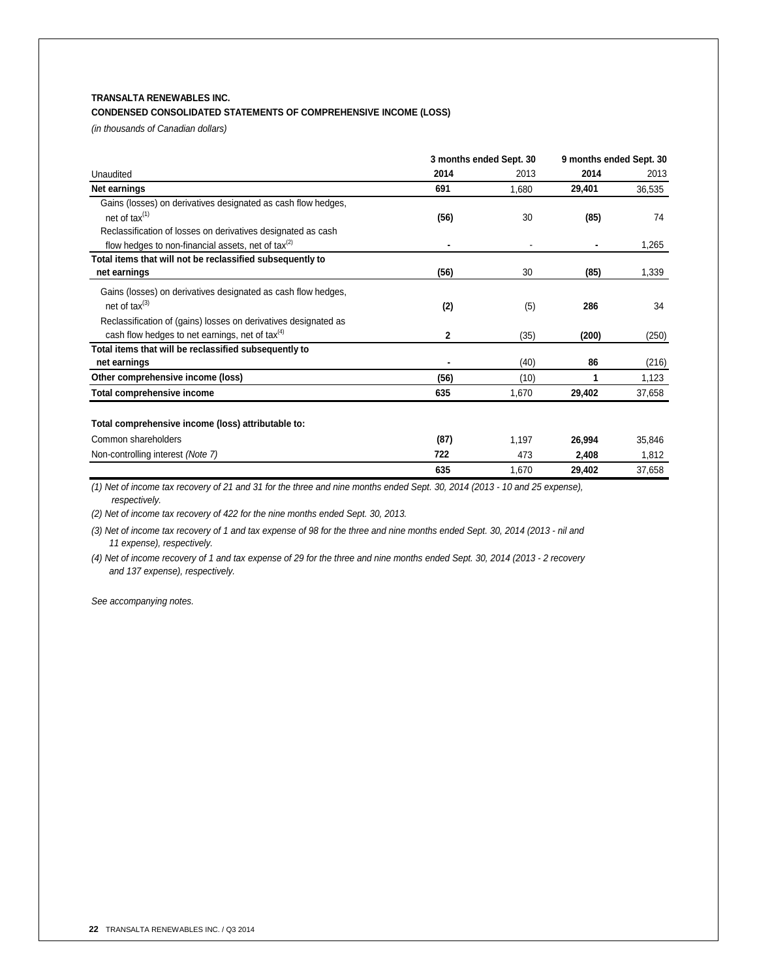# **TRANSALTA RENEWABLES INC.**

# **CONDENSED CONSOLIDATED STATEMENTS OF COMPREHENSIVE INCOME (LOSS)**

*(in thousands of Canadian dollars)*

| 3 months ended Sept. 30 |       | 9 months ended Sept. 30 |        |
|-------------------------|-------|-------------------------|--------|
| 2014                    | 2013  | 2014                    | 2013   |
| 691                     | 1.680 | 29,401                  | 36,535 |
|                         |       |                         |        |
| (56)                    | 30    | (85)                    | 74     |
|                         |       |                         |        |
|                         |       |                         | 1,265  |
|                         |       |                         |        |
| (56)                    | 30    | (85)                    | 1,339  |
|                         |       |                         |        |
|                         |       | 286                     | 34     |
|                         |       |                         |        |
| 2                       | (35)  | (200)                   | (250)  |
|                         |       |                         |        |
| ٠                       | (40)  | 86                      | (216)  |
| (56)                    | (10)  |                         | 1,123  |
| 635                     | 1,670 | 29,402                  | 37,658 |
|                         |       |                         |        |
| (87)                    | 1,197 | 26,994                  | 35,846 |
| 722                     | 473   | 2,408                   | 1,812  |
| 635                     | 1,670 | 29,402                  | 37,658 |
|                         | (2)   | (5)                     |        |

*(1) Net of income tax recovery of 21 and 31 for the three and nine months ended Sept. 30, 2014 (2013 - 10 and 25 expense), respectively.*

*(2) Net of income tax recovery of 422 for the nine months ended Sept. 30, 2013.*

*(3) Net of income tax recovery of 1 and tax expense of 98 for the three and nine months ended Sept. 30, 2014 (2013 - nil and 11 expense), respectively.*

*(4) Net of income recovery of 1 and tax expense of 29 for the three and nine months ended Sept. 30, 2014 (2013 - 2 recovery and 137 expense), respectively.*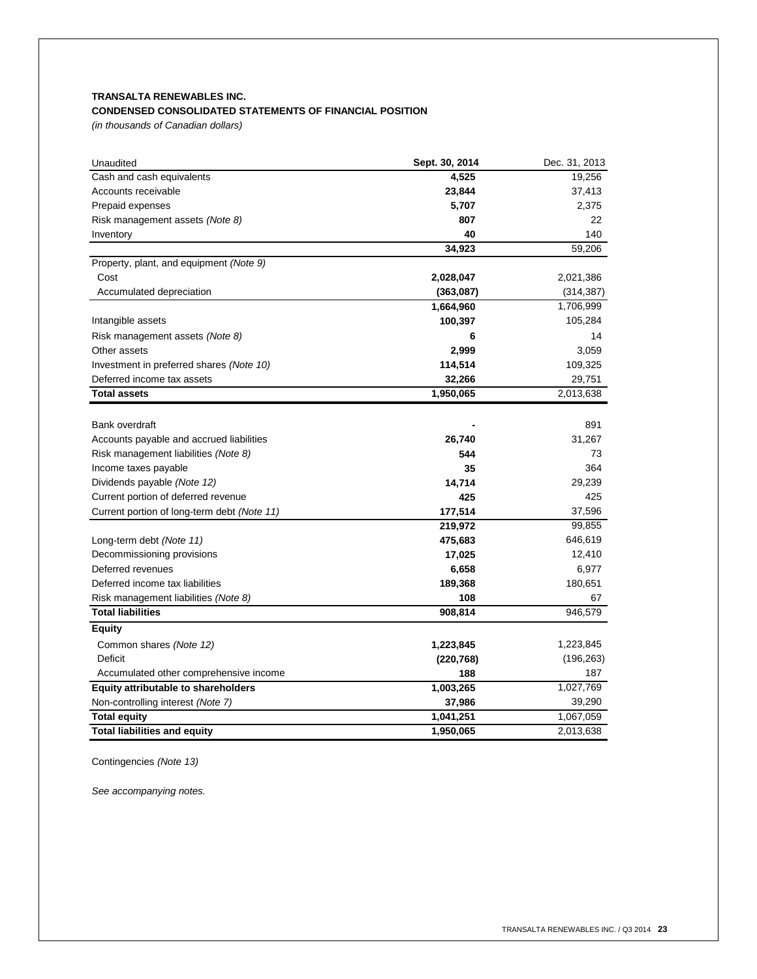# **TRANSALTA RENEWABLES INC. CONDENSED CONSOLIDATED STATEMENTS OF FINANCIAL POSITION**

*(in thousands of Canadian dollars)*

| Unaudited                                   | Sept. 30, 2014 | Dec. 31, 2013 |
|---------------------------------------------|----------------|---------------|
| Cash and cash equivalents                   | 4,525          | 19,256        |
| Accounts receivable                         | 23,844         | 37,413        |
| Prepaid expenses                            | 5,707          | 2,375         |
| Risk management assets (Note 8)             | 807            | 22            |
| Inventory                                   | 40             | 140           |
|                                             | 34,923         | 59,206        |
| Property, plant, and equipment (Note 9)     |                |               |
| Cost                                        | 2,028,047      | 2,021,386     |
| Accumulated depreciation                    | (363,087)      | (314, 387)    |
|                                             | 1,664,960      | 1,706,999     |
| Intangible assets                           | 100,397        | 105,284       |
| Risk management assets (Note 8)             | 6              | 14            |
| Other assets                                | 2,999          | 3,059         |
| Investment in preferred shares (Note 10)    | 114,514        | 109,325       |
| Deferred income tax assets                  | 32,266         | 29,751        |
| <b>Total assets</b>                         | 1,950,065      | 2,013,638     |
|                                             |                |               |
| <b>Bank overdraft</b>                       |                | 891           |
| Accounts payable and accrued liabilities    | 26,740         | 31,267        |
| Risk management liabilities (Note 8)        | 544            | 73            |
| Income taxes payable                        | 35             | 364           |
| Dividends payable (Note 12)                 | 14,714         | 29,239        |
| Current portion of deferred revenue         | 425            | 425           |
| Current portion of long-term debt (Note 11) | 177,514        | 37,596        |
|                                             | 219,972        | 99,855        |
| Long-term debt (Note 11)                    | 475,683        | 646,619       |
| Decommissioning provisions                  | 17,025         | 12,410        |
| Deferred revenues                           | 6,658          | 6,977         |
| Deferred income tax liabilities             | 189,368        | 180,651       |
| Risk management liabilities (Note 8)        | 108            | 67            |
| <b>Total liabilities</b>                    | 908,814        | 946,579       |
| <b>Equity</b>                               |                |               |
| Common shares (Note 12)                     | 1,223,845      | 1,223,845     |
| Deficit                                     | (220, 768)     | (196, 263)    |
| Accumulated other comprehensive income      | 188            | 187           |
| Equity attributable to shareholders         | 1,003,265      | 1,027,769     |
| Non-controlling interest (Note 7)           | 37,986         | 39,290        |
| <b>Total equity</b>                         | 1,041,251      | 1,067,059     |
| <b>Total liabilities and equity</b>         | 1,950,065      | 2,013,638     |

Contingencies *(Note 13)*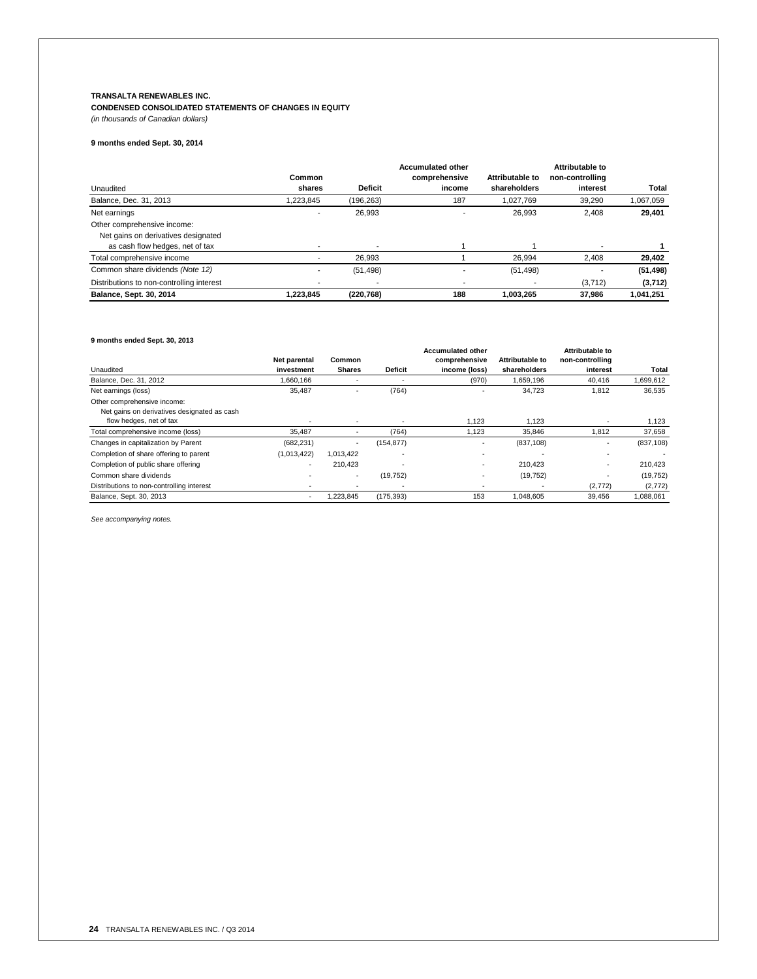# **TRANSALTA RENEWABLES INC.**

**CONDENSED CONSOLIDATED STATEMENTS OF CHANGES IN EQUITY** *(in thousands of Canadian dollars)*

# **9 months ended Sept. 30, 2014**

|                                           |           |                | <b>Accumulated other</b> |                 | Attributable to |           |
|-------------------------------------------|-----------|----------------|--------------------------|-----------------|-----------------|-----------|
|                                           | Common    |                | comprehensive            | Attributable to | non-controlling |           |
| Unaudited                                 | shares    | <b>Deficit</b> | income                   | shareholders    | interest        | Total     |
| Balance, Dec. 31, 2013                    | 1.223.845 | (196.263)      | 187                      | 1.027.769       | 39.290          | 1,067,059 |
| Net earnings                              |           | 26,993         | $\overline{\phantom{0}}$ | 26.993          | 2.408           | 29,401    |
| Other comprehensive income:               |           |                |                          |                 |                 |           |
| Net gains on derivatives designated       |           |                |                          |                 |                 |           |
| as cash flow hedges, net of tax           |           |                |                          |                 |                 |           |
| Total comprehensive income                |           | 26.993         |                          | 26.994          | 2.408           | 29,402    |
| Common share dividends (Note 12)          |           | (51, 498)      |                          | (51, 498)       |                 | (51, 498) |
| Distributions to non-controlling interest |           |                |                          |                 | (3,712)         | (3,712)   |
| Balance, Sept. 30, 2014                   | 1.223.845 | (220, 768)     | 188                      | 1.003.265       | 37.986          | 1.041.251 |

# **9 months ended Sept. 30, 2013**

|                                             |                          |                          |                          | <b>Accumulated other</b> |                        | <b>Attributable to</b> |            |
|---------------------------------------------|--------------------------|--------------------------|--------------------------|--------------------------|------------------------|------------------------|------------|
|                                             | Net parental             | Common                   |                          | comprehensive            | <b>Attributable to</b> | non-controlling        |            |
| Unaudited                                   | investment               | <b>Shares</b>            | <b>Deficit</b>           | income (loss)            | shareholders           | interest               | Total      |
| Balance, Dec. 31, 2012                      | 1,660,166                |                          |                          | (970)                    | 1,659,196              | 40,416                 | 1,699,612  |
| Net earnings (loss)                         | 35,487                   |                          | (764)                    |                          | 34,723                 | 1.812                  | 36,535     |
| Other comprehensive income:                 |                          |                          |                          |                          |                        |                        |            |
| Net gains on derivatives designated as cash |                          |                          |                          |                          |                        |                        |            |
| flow hedges, net of tax                     |                          | $\overline{\phantom{a}}$ | $\overline{\phantom{a}}$ | 1,123                    | 1,123                  |                        | 1,123      |
| Total comprehensive income (loss)           | 35.487                   |                          | (764)                    | 1.123                    | 35.846                 | 1,812                  | 37,658     |
| Changes in capitalization by Parent         | (682, 231)               | $\overline{\phantom{a}}$ | (154, 877)               |                          | (837, 108)             |                        | (837, 108) |
| Completion of share offering to parent      | (1,013,422)              | 1.013.422                | $\overline{\phantom{a}}$ |                          |                        |                        |            |
| Completion of public share offering         | $\overline{\phantom{a}}$ | 210.423                  | $\overline{\phantom{a}}$ |                          | 210.423                |                        | 210.423    |
| Common share dividends                      |                          | $\sim$                   | (19, 752)                |                          | (19, 752)              |                        | (19, 752)  |
| Distributions to non-controlling interest   |                          |                          | $\overline{\phantom{a}}$ |                          |                        | (2,772)                | (2, 772)   |
| Balance, Sept. 30, 2013                     |                          | 1.223.845                | (175, 393)               | 153                      | 1.048.605              | 39.456                 | 1,088,061  |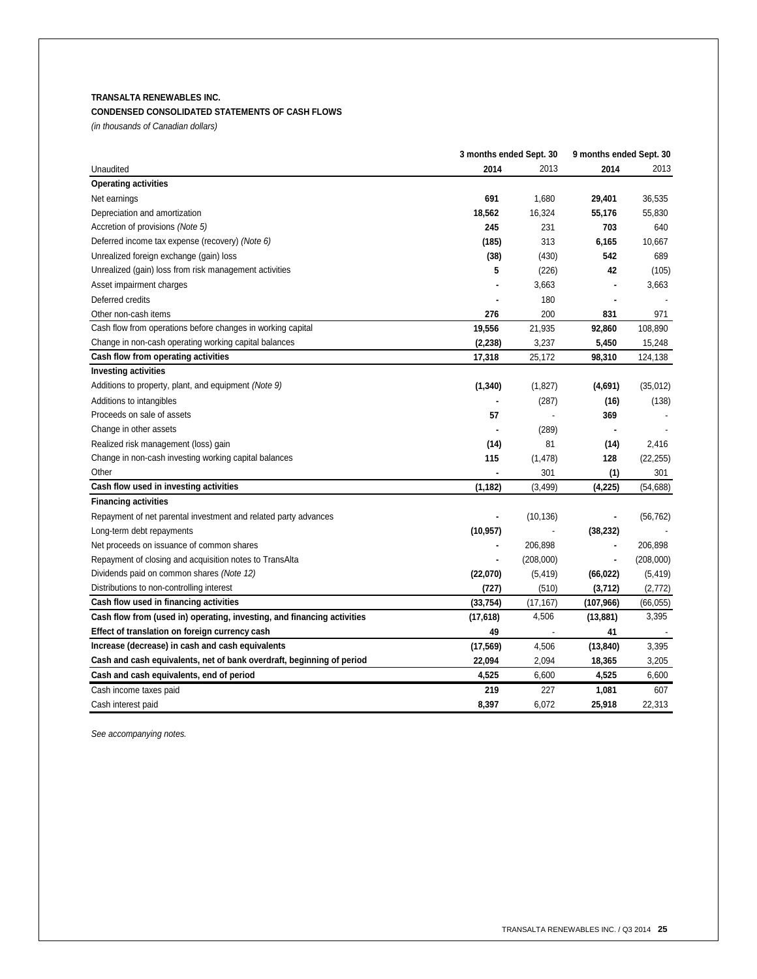# **TRANSALTA RENEWABLES INC.**

# **CONDENSED CONSOLIDATED STATEMENTS OF CASH FLOWS**

*(in thousands of Canadian dollars)*

|                                                                         | 3 months ended Sept. 30 | 9 months ended Sept. 30 |            |           |
|-------------------------------------------------------------------------|-------------------------|-------------------------|------------|-----------|
| Unaudited                                                               | 2014                    | 2013                    | 2014       | 2013      |
| <b>Operating activities</b>                                             |                         |                         |            |           |
| Net earnings                                                            | 691                     | 1,680                   | 29,401     | 36,535    |
| Depreciation and amortization                                           | 18,562                  | 16,324                  | 55,176     | 55,830    |
| Accretion of provisions (Note 5)                                        | 245                     | 231                     | 703        | 640       |
| Deferred income tax expense (recovery) (Note 6)                         | (185)                   | 313                     | 6,165      | 10,667    |
| Unrealized foreign exchange (gain) loss                                 | (38)                    | (430)                   | 542        | 689       |
| Unrealized (gain) loss from risk management activities                  | 5                       | (226)                   | 42         | (105)     |
| Asset impairment charges                                                |                         | 3,663                   |            | 3,663     |
| Deferred credits                                                        |                         | 180                     |            |           |
| Other non-cash items                                                    | 276                     | 200                     | 831        | 971       |
| Cash flow from operations before changes in working capital             | 19,556                  | 21,935                  | 92,860     | 108,890   |
| Change in non-cash operating working capital balances                   | (2, 238)                | 3,237                   | 5,450      | 15,248    |
| Cash flow from operating activities                                     | 17,318                  | 25,172                  | 98,310     | 124,138   |
| <b>Investing activities</b>                                             |                         |                         |            |           |
| Additions to property, plant, and equipment (Note 9)                    | (1, 340)                | (1,827)                 | (4,691)    | (35,012)  |
| Additions to intangibles                                                |                         | (287)                   | (16)       | (138)     |
| Proceeds on sale of assets                                              | 57                      |                         | 369        |           |
| Change in other assets                                                  |                         | (289)                   |            |           |
| Realized risk management (loss) gain                                    | (14)                    | 81                      | (14)       | 2,416     |
| Change in non-cash investing working capital balances                   | 115                     | (1, 478)                | 128        | (22, 255) |
| Other                                                                   |                         | 301                     | (1)        | 301       |
| Cash flow used in investing activities                                  | (1, 182)                | (3, 499)                | (4, 225)   | (54, 688) |
| <b>Financing activities</b>                                             |                         |                         |            |           |
| Repayment of net parental investment and related party advances         |                         | (10, 136)               |            | (56, 762) |
| Long-term debt repayments                                               | (10, 957)               |                         | (38, 232)  |           |
| Net proceeds on issuance of common shares                               |                         | 206,898                 |            | 206,898   |
| Repayment of closing and acquisition notes to TransAlta                 |                         | (208,000)               | ÷,         | (208,000) |
| Dividends paid on common shares (Note 12)                               | (22,070)                | (5, 419)                | (66, 022)  | (5, 419)  |
| Distributions to non-controlling interest                               | (727)                   | (510)                   | (3,712)    | (2, 772)  |
| Cash flow used in financing activities                                  | (33, 754)               | (17, 167)               | (107, 966) | (66, 055) |
| Cash flow from (used in) operating, investing, and financing activities | (17, 618)               | 4,506                   | (13, 881)  | 3,395     |
| Effect of translation on foreign currency cash                          | 49                      | $\overline{a}$          | 41         |           |
| Increase (decrease) in cash and cash equivalents                        | (17, 569)               | 4,506                   | (13, 840)  | 3,395     |
| Cash and cash equivalents, net of bank overdraft, beginning of period   | 22,094                  | 2,094                   | 18,365     | 3,205     |
| Cash and cash equivalents, end of period                                | 4,525                   | 6,600                   | 4,525      | 6,600     |
| Cash income taxes paid                                                  | 219                     | 227                     | 1,081      | 607       |
| Cash interest paid                                                      | 8.397                   | 6.072                   | 25,918     | 22.313    |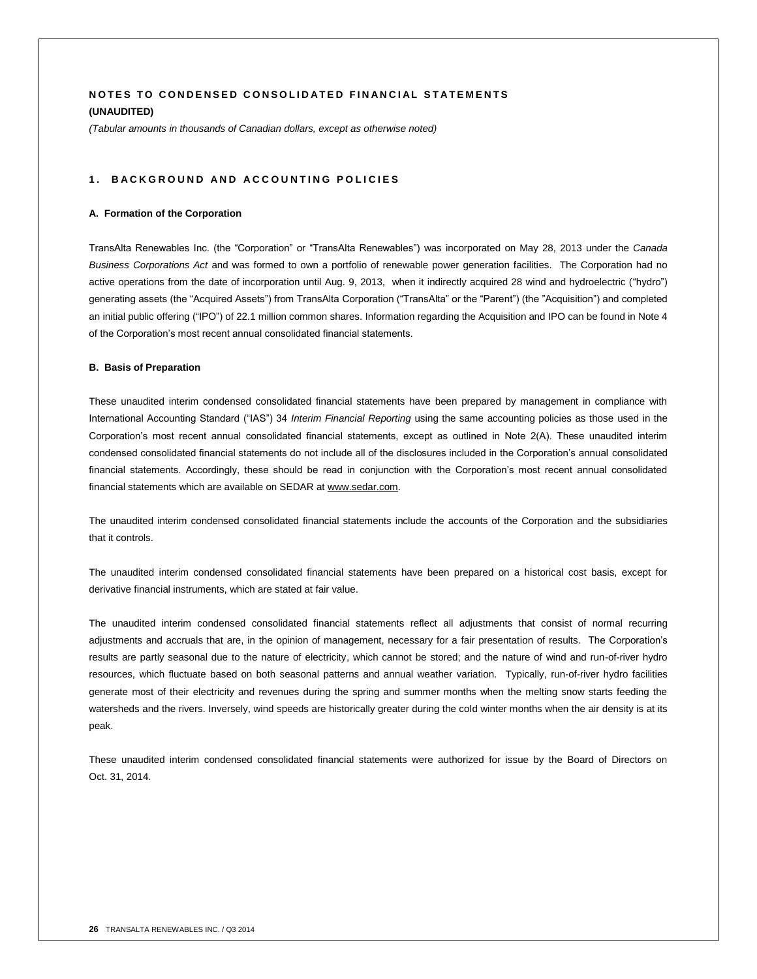# **NOTES TO CONDENSED CONSOLIDATED FINANCIAL STATEMENTS (UNAUDITED)**

*(Tabular amounts in thousands of Canadian dollars, except as otherwise noted)*

## 1. BACKGROUND AND ACCOUNTING POLICIES

#### **A. Formation of the Corporation**

TransAlta Renewables Inc. (the "Corporation" or "TransAlta Renewables") was incorporated on May 28, 2013 under the *Canada Business Corporations Act* and was formed to own a portfolio of renewable power generation facilities. The Corporation had no active operations from the date of incorporation until Aug. 9, 2013, when it indirectly acquired 28 wind and hydroelectric ("hydro") generating assets (the "Acquired Assets") from TransAlta Corporation ("TransAlta" or the "Parent") (the "Acquisition") and completed an initial public offering ("IPO") of 22.1 million common shares. Information regarding the Acquisition and IPO can be found in Note 4 of the Corporation's most recent annual consolidated financial statements.

## **B. Basis of Preparation**

These unaudited interim condensed consolidated financial statements have been prepared by management in compliance with International Accounting Standard ("IAS") 34 *Interim Financial Reporting* using the same accounting policies as those used in the Corporation's most recent annual consolidated financial statements, except as outlined in Note 2(A). These unaudited interim condensed consolidated financial statements do not include all of the disclosures included in the Corporation's annual consolidated financial statements. Accordingly, these should be read in conjunction with the Corporation's most recent annual consolidated financial statements which are available on SEDAR at www.sedar.com.

The unaudited interim condensed consolidated financial statements include the accounts of the Corporation and the subsidiaries that it controls.

The unaudited interim condensed consolidated financial statements have been prepared on a historical cost basis, except for derivative financial instruments, which are stated at fair value.

The unaudited interim condensed consolidated financial statements reflect all adjustments that consist of normal recurring adjustments and accruals that are, in the opinion of management, necessary for a fair presentation of results. The Corporation's results are partly seasonal due to the nature of electricity, which cannot be stored; and the nature of wind and run-of-river hydro resources, which fluctuate based on both seasonal patterns and annual weather variation. Typically, run-of-river hydro facilities generate most of their electricity and revenues during the spring and summer months when the melting snow starts feeding the watersheds and the rivers. Inversely, wind speeds are historically greater during the cold winter months when the air density is at its peak.

These unaudited interim condensed consolidated financial statements were authorized for issue by the Board of Directors on Oct. 31, 2014.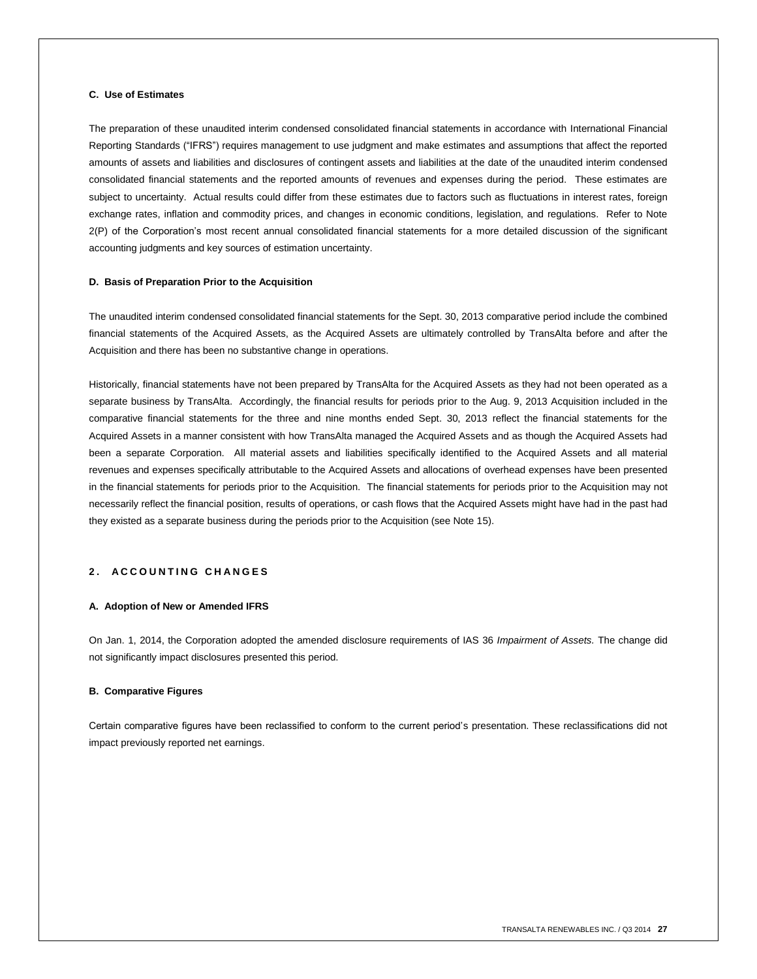# **C. Use of Estimates**

The preparation of these unaudited interim condensed consolidated financial statements in accordance with International Financial Reporting Standards ("IFRS") requires management to use judgment and make estimates and assumptions that affect the reported amounts of assets and liabilities and disclosures of contingent assets and liabilities at the date of the unaudited interim condensed consolidated financial statements and the reported amounts of revenues and expenses during the period. These estimates are subject to uncertainty. Actual results could differ from these estimates due to factors such as fluctuations in interest rates, foreign exchange rates, inflation and commodity prices, and changes in economic conditions, legislation, and regulations. Refer to Note 2(P) of the Corporation's most recent annual consolidated financial statements for a more detailed discussion of the significant accounting judgments and key sources of estimation uncertainty.

## **D. Basis of Preparation Prior to the Acquisition**

The unaudited interim condensed consolidated financial statements for the Sept. 30, 2013 comparative period include the combined financial statements of the Acquired Assets, as the Acquired Assets are ultimately controlled by TransAlta before and after the Acquisition and there has been no substantive change in operations.

Historically, financial statements have not been prepared by TransAlta for the Acquired Assets as they had not been operated as a separate business by TransAlta. Accordingly, the financial results for periods prior to the Aug. 9, 2013 Acquisition included in the comparative financial statements for the three and nine months ended Sept. 30, 2013 reflect the financial statements for the Acquired Assets in a manner consistent with how TransAlta managed the Acquired Assets and as though the Acquired Assets had been a separate Corporation. All material assets and liabilities specifically identified to the Acquired Assets and all material revenues and expenses specifically attributable to the Acquired Assets and allocations of overhead expenses have been presented in the financial statements for periods prior to the Acquisition. The financial statements for periods prior to the Acquisition may not necessarily reflect the financial position, results of operations, or cash flows that the Acquired Assets might have had in the past had they existed as a separate business during the periods prior to the Acquisition (see Note 15).

# **2 . A C C O U N T I N G C H A N G E S**

#### **A. Adoption of New or Amended IFRS**

On Jan. 1, 2014, the Corporation adopted the amended disclosure requirements of IAS 36 *Impairment of Assets.* The change did not significantly impact disclosures presented this period.

# **B. Comparative Figures**

Certain comparative figures have been reclassified to conform to the current period's presentation. These reclassifications did not impact previously reported net earnings.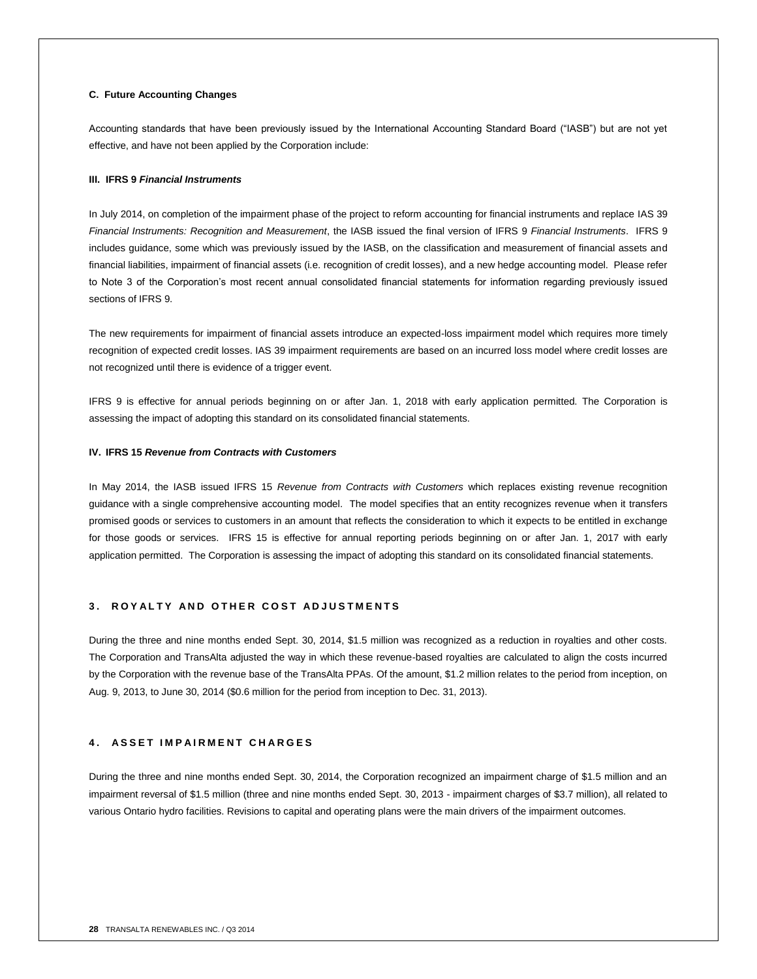## **C. Future Accounting Changes**

Accounting standards that have been previously issued by the International Accounting Standard Board ("IASB") but are not yet effective, and have not been applied by the Corporation include:

#### **III. IFRS 9** *Financial Instruments*

In July 2014, on completion of the impairment phase of the project to reform accounting for financial instruments and replace IAS 39 *Financial Instruments: Recognition and Measurement*, the IASB issued the final version of IFRS 9 *Financial Instruments*. IFRS 9 includes guidance, some which was previously issued by the IASB, on the classification and measurement of financial assets and financial liabilities, impairment of financial assets (i.e. recognition of credit losses), and a new hedge accounting model. Please refer to Note 3 of the Corporation's most recent annual consolidated financial statements for information regarding previously issued sections of IFRS 9.

The new requirements for impairment of financial assets introduce an expected-loss impairment model which requires more timely recognition of expected credit losses. IAS 39 impairment requirements are based on an incurred loss model where credit losses are not recognized until there is evidence of a trigger event.

IFRS 9 is effective for annual periods beginning on or after Jan. 1, 2018 with early application permitted. The Corporation is assessing the impact of adopting this standard on its consolidated financial statements.

#### **IV. IFRS 15** *Revenue from Contracts with Customers*

In May 2014, the IASB issued IFRS 15 *Revenue from Contracts with Customers* which replaces existing revenue recognition guidance with a single comprehensive accounting model. The model specifies that an entity recognizes revenue when it transfers promised goods or services to customers in an amount that reflects the consideration to which it expects to be entitled in exchange for those goods or services. IFRS 15 is effective for annual reporting periods beginning on or after Jan. 1, 2017 with early application permitted. The Corporation is assessing the impact of adopting this standard on its consolidated financial statements.

# **3 . R O Y A L T Y A N D O T H E R C O S T A D J U S T M E N T S**

During the three and nine months ended Sept. 30, 2014, \$1.5 million was recognized as a reduction in royalties and other costs. The Corporation and TransAlta adjusted the way in which these revenue-based royalties are calculated to align the costs incurred by the Corporation with the revenue base of the TransAlta PPAs. Of the amount, \$1.2 million relates to the period from inception, on Aug. 9, 2013, to June 30, 2014 (\$0.6 million for the period from inception to Dec. 31, 2013).

# **4 . A S S E T I M P A I R M E N T C H A R G E S**

During the three and nine months ended Sept. 30, 2014, the Corporation recognized an impairment charge of \$1.5 million and an impairment reversal of \$1.5 million (three and nine months ended Sept. 30, 2013 - impairment charges of \$3.7 million), all related to various Ontario hydro facilities. Revisions to capital and operating plans were the main drivers of the impairment outcomes.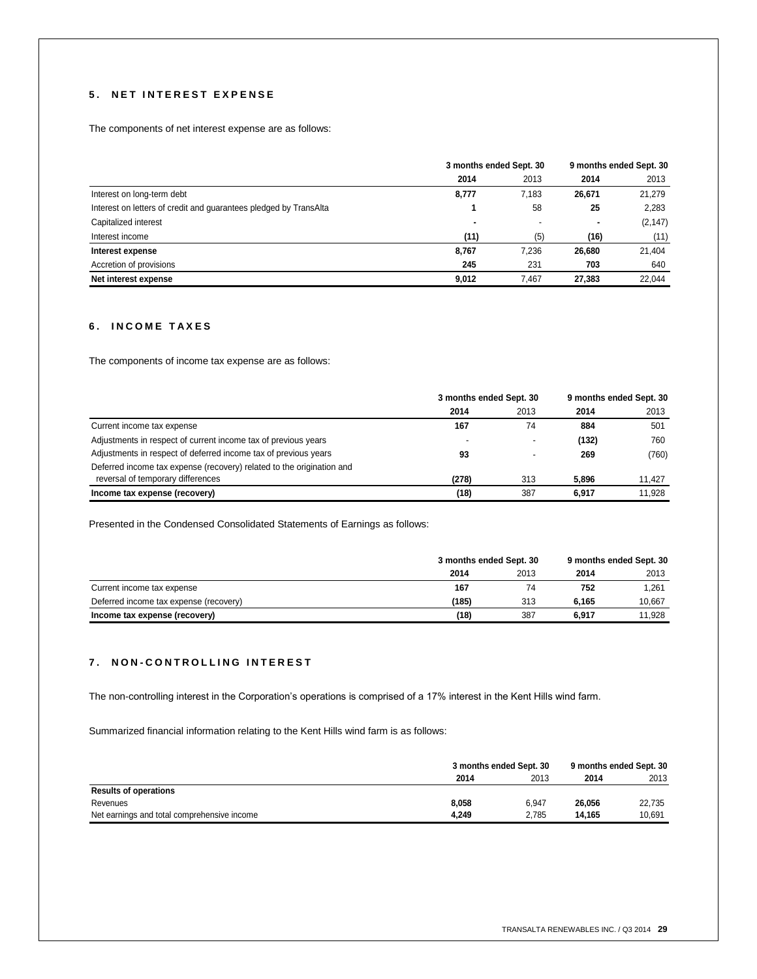# **5 . N E T I N T E R E S T E X P E N S E**

The components of net interest expense are as follows:

|                                                                   | 3 months ended Sept. 30 |       | 9 months ended Sept. 30 |          |
|-------------------------------------------------------------------|-------------------------|-------|-------------------------|----------|
|                                                                   | 2014                    | 2013  | 2014                    | 2013     |
| Interest on long-term debt                                        | 8,777                   | 7.183 | 26,671                  | 21,279   |
| Interest on letters of credit and quarantees pledged by TransAlta |                         | 58    | 25                      | 2,283    |
| Capitalized interest                                              | $\blacksquare$          |       | ۰                       | (2, 147) |
| Interest income                                                   | (11)                    | (5)   | (16)                    | (11)     |
| Interest expense                                                  | 8,767                   | 7.236 | 26,680                  | 21,404   |
| Accretion of provisions                                           | 245                     | 231   | 703                     | 640      |
| Net interest expense                                              | 9.012                   | 7.467 | 27.383                  | 22.044   |

# **6 . I N C O M E T A X E S**

The components of income tax expense are as follows:

|                                                                       | 3 months ended Sept. 30  |      | 9 months ended Sept. 30 |        |
|-----------------------------------------------------------------------|--------------------------|------|-------------------------|--------|
|                                                                       | 2014                     | 2013 | 2014                    | 2013   |
| Current income tax expense                                            | 167                      | 74   | 884                     | 501    |
| Adjustments in respect of current income tax of previous years        | $\overline{\phantom{a}}$ |      | (132)                   | 760    |
| Adjustments in respect of deferred income tax of previous years       | 93                       |      | 269                     | (760)  |
| Deferred income tax expense (recovery) related to the origination and |                          |      |                         |        |
| reversal of temporary differences                                     | (278)                    | 313  | 5.896                   | 11.427 |
| Income tax expense (recovery)                                         | (18)                     | 387  | 6.917                   | 11.928 |

Presented in the Condensed Consolidated Statements of Earnings as follows:

|                                        |       | 3 months ended Sept. 30 |       | 9 months ended Sept. 30 |
|----------------------------------------|-------|-------------------------|-------|-------------------------|
|                                        | 2014  | 2013                    | 2014  | 2013                    |
| Current income tax expense             | 167   | 74                      | 752   | 1.261                   |
| Deferred income tax expense (recovery) | (185) | 313                     | 6.165 | 10.667                  |
| Income tax expense (recovery)          | (18)  | 387                     | 6.917 | 11.928                  |

# **7 . N O N - C O N T R O L L I N G I N T E R E S T**

The non-controlling interest in the Corporation's operations is comprised of a 17% interest in the Kent Hills wind farm.

Summarized financial information relating to the Kent Hills wind farm is as follows:

|                                             |       | 3 months ended Sept. 30 |        | 9 months ended Sept. 30 |
|---------------------------------------------|-------|-------------------------|--------|-------------------------|
|                                             | 2014  | 2013                    | 2014   | 2013                    |
| <b>Results of operations</b>                |       |                         |        |                         |
| Revenues                                    | 8.058 | 6.947                   | 26.056 | 22.735                  |
| Net earnings and total comprehensive income | 4.249 | 2.785                   | 14.165 | 10.691                  |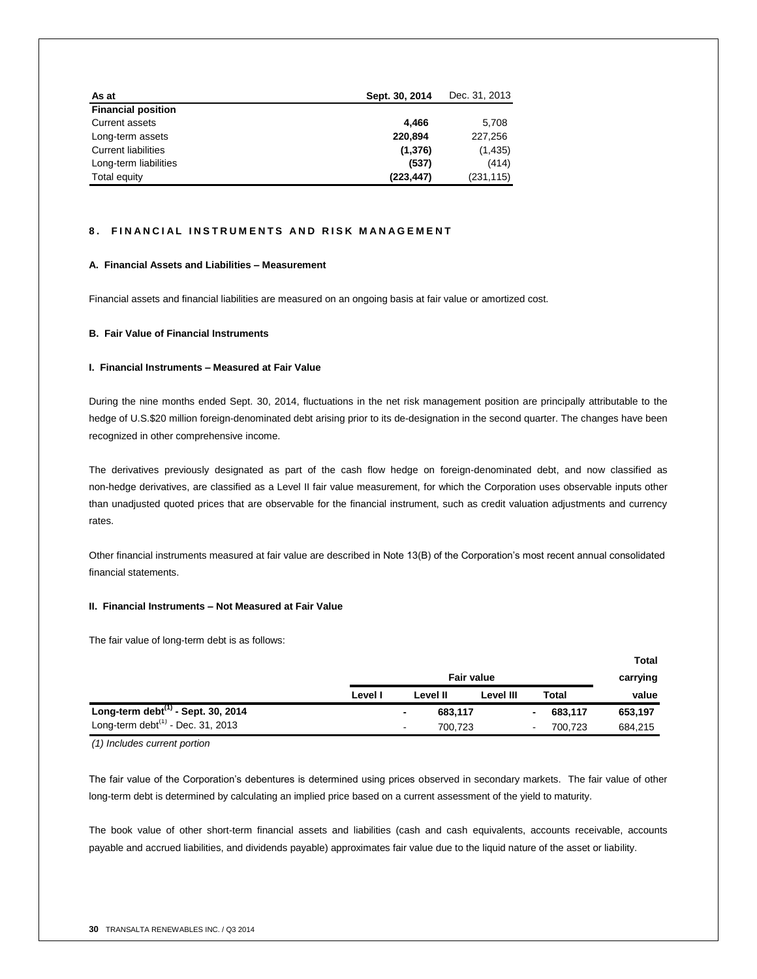| As at                      | Sept. 30, 2014 | Dec. 31, 2013 |
|----------------------------|----------------|---------------|
| <b>Financial position</b>  |                |               |
| <b>Current assets</b>      | 4.466          | 5,708         |
| Long-term assets           | 220.894        | 227.256       |
| <b>Current liabilities</b> | (1,376)        | (1, 435)      |
| Long-term liabilities      | (537)          | (414)         |
| Total equity               | (223, 447)     | (231, 115)    |

# **8. FINANCIAL INSTRUMENTS AND RISK MANAGEMENT**

# **A. Financial Assets and Liabilities – Measurement**

Financial assets and financial liabilities are measured on an ongoing basis at fair value or amortized cost.

# **B. Fair Value of Financial Instruments**

# **I. Financial Instruments – Measured at Fair Value**

During the nine months ended Sept. 30, 2014, fluctuations in the net risk management position are principally attributable to the hedge of U.S.\$20 million foreign-denominated debt arising prior to its de-designation in the second quarter. The changes have been recognized in other comprehensive income.

The derivatives previously designated as part of the cash flow hedge on foreign-denominated debt, and now classified as non-hedge derivatives, are classified as a Level II fair value measurement, for which the Corporation uses observable inputs other than unadjusted quoted prices that are observable for the financial instrument, such as credit valuation adjustments and currency rates.

Other financial instruments measured at fair value are described in Note 13(B) of the Corporation's most recent annual consolidated financial statements.

#### **II. Financial Instruments – Not Measured at Fair Value**

The fair value of long-term debt is as follows:

|                                       |                   |                                     |           |                |         | Total    |
|---------------------------------------|-------------------|-------------------------------------|-----------|----------------|---------|----------|
|                                       | <b>Fair value</b> |                                     |           |                |         | carrying |
|                                       | Level I           | Level II                            | Level III |                | Total   | value    |
| Long-term debt $(1)$ - Sept. 30, 2014 |                   | 683,117<br>$\overline{\phantom{0}}$ |           | ۰.             | 683,117 | 653,197  |
| Long-term debt $(1)$ - Dec. 31, 2013  |                   | 700.723<br>$\blacksquare$           |           | $\blacksquare$ | 700.723 | 684,215  |

*(1) Includes current portion*

The fair value of the Corporation's debentures is determined using prices observed in secondary markets. The fair value of other long-term debt is determined by calculating an implied price based on a current assessment of the yield to maturity.

The book value of other short-term financial assets and liabilities (cash and cash equivalents, accounts receivable, accounts payable and accrued liabilities, and dividends payable) approximates fair value due to the liquid nature of the asset or liability.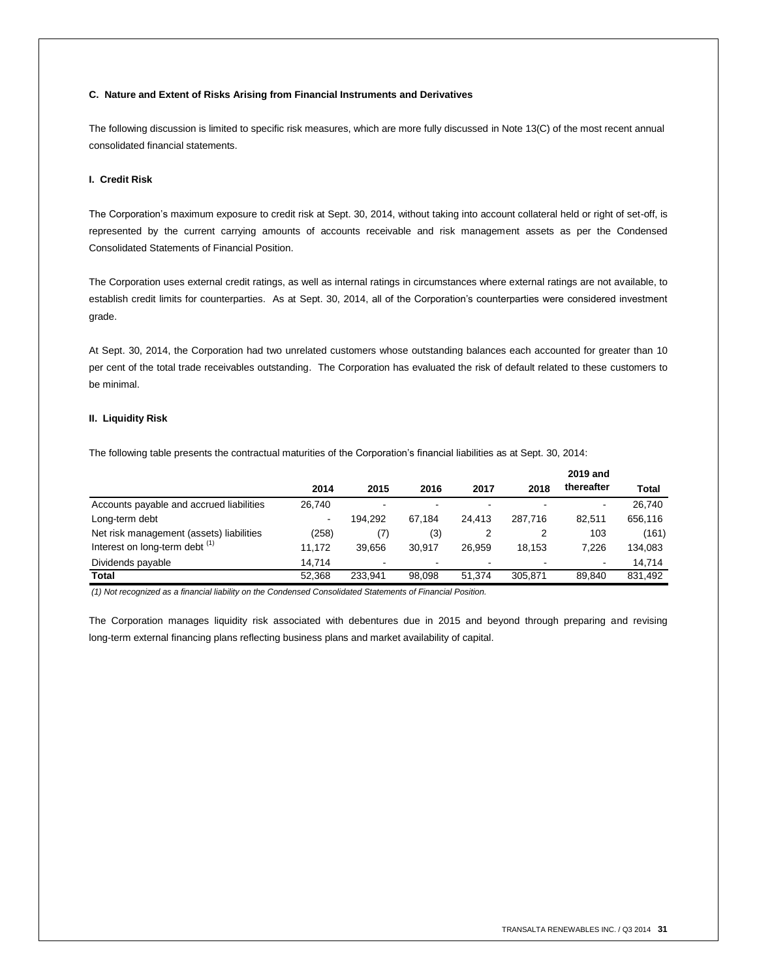## **C. Nature and Extent of Risks Arising from Financial Instruments and Derivatives**

The following discussion is limited to specific risk measures, which are more fully discussed in Note 13(C) of the most recent annual consolidated financial statements.

## **I. Credit Risk**

The Corporation's maximum exposure to credit risk at Sept. 30, 2014, without taking into account collateral held or right of set-off, is represented by the current carrying amounts of accounts receivable and risk management assets as per the Condensed Consolidated Statements of Financial Position.

The Corporation uses external credit ratings, as well as internal ratings in circumstances where external ratings are not available, to establish credit limits for counterparties. As at Sept. 30, 2014, all of the Corporation's counterparties were considered investment grade.

At Sept. 30, 2014, the Corporation had two unrelated customers whose outstanding balances each accounted for greater than 10 per cent of the total trade receivables outstanding. The Corporation has evaluated the risk of default related to these customers to be minimal.

# **II. Liquidity Risk**

The following table presents the contractual maturities of the Corporation's financial liabilities as at Sept. 30, 2014:

|                                           |                |         |        |                          |         | 2019 and       |         |
|-------------------------------------------|----------------|---------|--------|--------------------------|---------|----------------|---------|
|                                           | 2014           | 2015    | 2016   | 2017                     | 2018    | thereafter     | Total   |
| Accounts payable and accrued liabilities  | 26.740         |         | ۰.     | $\overline{\phantom{0}}$ |         | ۰              | 26.740  |
| Long-term debt                            | $\blacksquare$ | 194.292 | 67.184 | 24.413                   | 287.716 | 82.511         | 656,116 |
| Net risk management (assets) liabilities  | (258)          | (7)     | (3)    |                          |         | 103            | (161)   |
| Interest on long-term debt <sup>(1)</sup> | 11.172         | 39.656  | 30.917 | 26.959                   | 18.153  | 7.226          | 134,083 |
| Dividends payable                         | 14.714         |         | ۰      |                          |         | $\blacksquare$ | 14,714  |
| Total                                     | 52.368         | 233.941 | 98.098 | 51.374                   | 305.871 | 89.840         | 831,492 |

*(1) Not recognized as a financial liability on the Condensed Consolidated Statements of Financial Position.*

The Corporation manages liquidity risk associated with debentures due in 2015 and beyond through preparing and revising long-term external financing plans reflecting business plans and market availability of capital.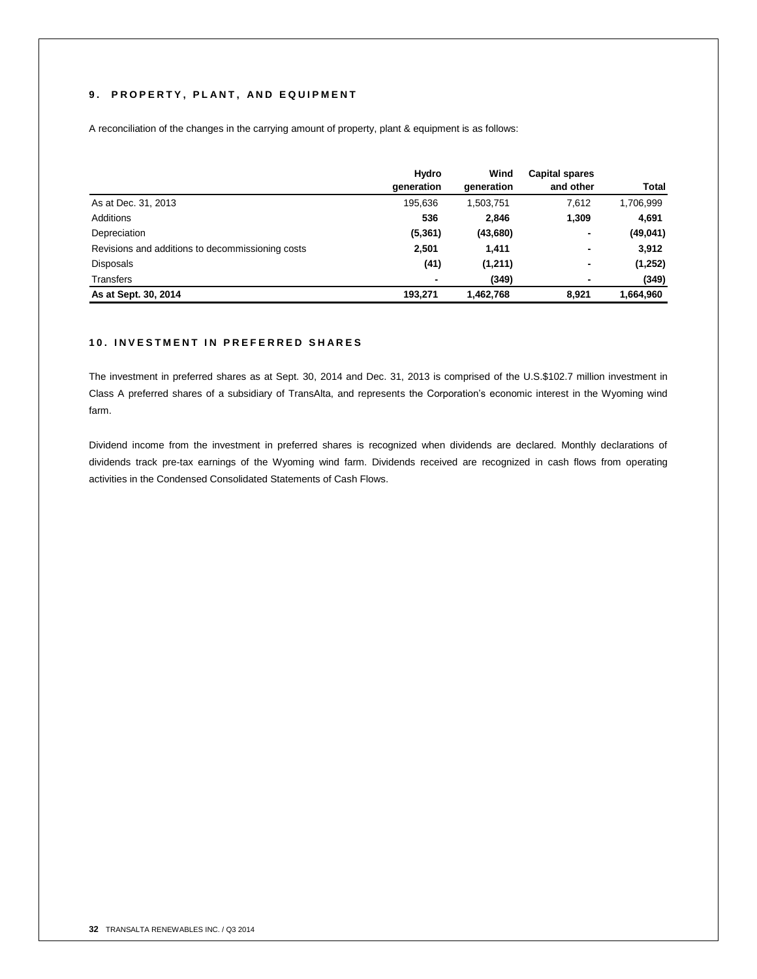# 9. PROPERTY, PLANT, AND EQUIPMENT

A reconciliation of the changes in the carrying amount of property, plant & equipment is as follows:

|                                                  | Hydro                    | Wind       | <b>Capital spares</b> |              |
|--------------------------------------------------|--------------------------|------------|-----------------------|--------------|
|                                                  | generation               | generation | and other             | <b>Total</b> |
| As at Dec. 31, 2013                              | 195.636                  | 1,503,751  | 7,612                 | 1,706,999    |
| Additions                                        | 536                      | 2,846      | 1,309                 | 4,691        |
| Depreciation                                     | (5,361)                  | (43,680)   | ۰                     | (49, 041)    |
| Revisions and additions to decommissioning costs | 2,501                    | 1,411      | ۰                     | 3,912        |
| <b>Disposals</b>                                 | (41)                     | (1,211)    | -                     | (1,252)      |
| Transfers                                        | $\overline{\phantom{0}}$ | (349)      |                       | (349)        |
| As at Sept. 30, 2014                             | 193,271                  | 1,462,768  | 8.921                 | 1,664,960    |

# **1 0 . I N V E S T M E N T I N P R E F E R R E D S H A R E S**

The investment in preferred shares as at Sept. 30, 2014 and Dec. 31, 2013 is comprised of the U.S.\$102.7 million investment in Class A preferred shares of a subsidiary of TransAlta, and represents the Corporation's economic interest in the Wyoming wind farm.

Dividend income from the investment in preferred shares is recognized when dividends are declared. Monthly declarations of dividends track pre-tax earnings of the Wyoming wind farm. Dividends received are recognized in cash flows from operating activities in the Condensed Consolidated Statements of Cash Flows.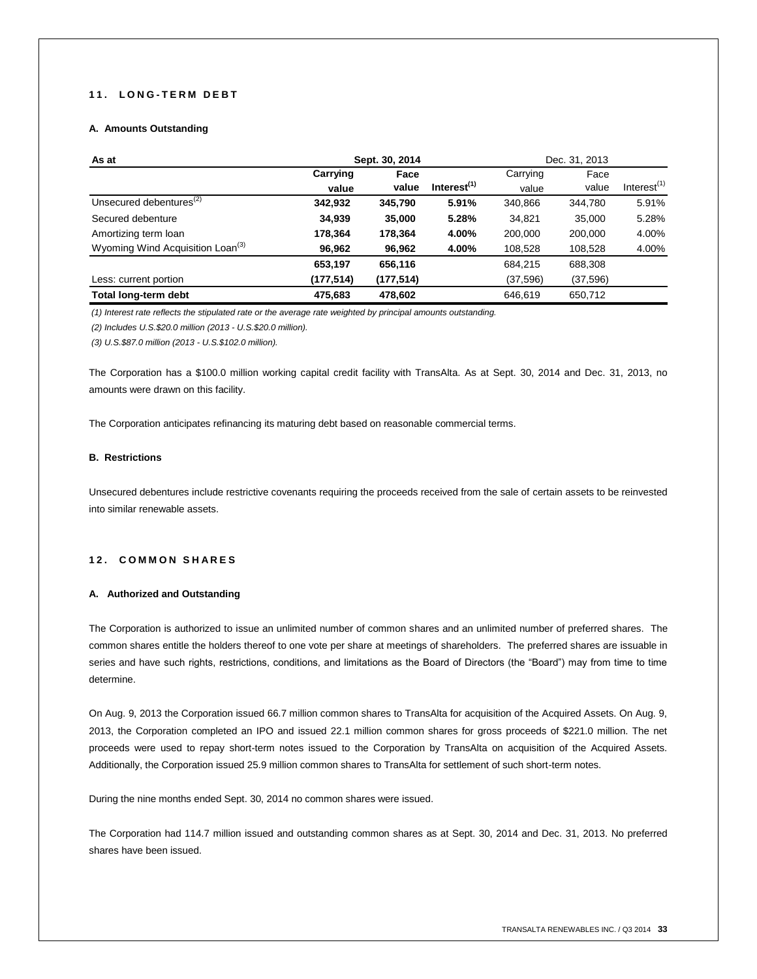# **1 1 . L O N G - T E R M D E B T**

# **A. Amounts Outstanding**

| As at                                        | Sept. 30, 2014 |            |                         |           | Dec. 31, 2013 |                |
|----------------------------------------------|----------------|------------|-------------------------|-----------|---------------|----------------|
|                                              | Carrying       | Face       |                         | Carrying  | Face          |                |
|                                              | value          | value      | Interest <sup>(1)</sup> | value     | value         | Interest $(1)$ |
| Unsecured debentures <sup>(2)</sup>          | 342,932        | 345,790    | 5.91%                   | 340,866   | 344,780       | 5.91%          |
| Secured debenture                            | 34,939         | 35,000     | 5.28%                   | 34,821    | 35,000        | 5.28%          |
| Amortizing term loan                         | 178,364        | 178,364    | 4.00%                   | 200,000   | 200,000       | 4.00%          |
| Wyoming Wind Acquisition Loan <sup>(3)</sup> | 96,962         | 96,962     | 4.00%                   | 108,528   | 108,528       | 4.00%          |
|                                              | 653,197        | 656,116    |                         | 684.215   | 688,308       |                |
| Less: current portion                        | (177, 514)     | (177, 514) |                         | (37, 596) | (37,596)      |                |
| Total long-term debt                         | 475,683        | 478,602    |                         | 646.619   | 650,712       |                |

*(1) Interest rate reflects the stipulated rate or the average rate weighted by principal amounts outstanding.*

*(2) Includes U.S.\$20.0 million (2013 - U.S.\$20.0 million).*

*(3) U.S.\$87.0 million (2013 - U.S.\$102.0 million).*

The Corporation has a \$100.0 million working capital credit facility with TransAlta. As at Sept. 30, 2014 and Dec. 31, 2013, no amounts were drawn on this facility.

The Corporation anticipates refinancing its maturing debt based on reasonable commercial terms.

## **B. Restrictions**

Unsecured debentures include restrictive covenants requiring the proceeds received from the sale of certain assets to be reinvested into similar renewable assets.

# **1 2 . C O M M O N S H A R E S**

## **A. Authorized and Outstanding**

The Corporation is authorized to issue an unlimited number of common shares and an unlimited number of preferred shares. The common shares entitle the holders thereof to one vote per share at meetings of shareholders. The preferred shares are issuable in series and have such rights, restrictions, conditions, and limitations as the Board of Directors (the "Board") may from time to time determine.

On Aug. 9, 2013 the Corporation issued 66.7 million common shares to TransAlta for acquisition of the Acquired Assets. On Aug. 9, 2013, the Corporation completed an IPO and issued 22.1 million common shares for gross proceeds of \$221.0 million. The net proceeds were used to repay short-term notes issued to the Corporation by TransAlta on acquisition of the Acquired Assets. Additionally, the Corporation issued 25.9 million common shares to TransAlta for settlement of such short-term notes.

During the nine months ended Sept. 30, 2014 no common shares were issued.

The Corporation had 114.7 million issued and outstanding common shares as at Sept. 30, 2014 and Dec. 31, 2013. No preferred shares have been issued.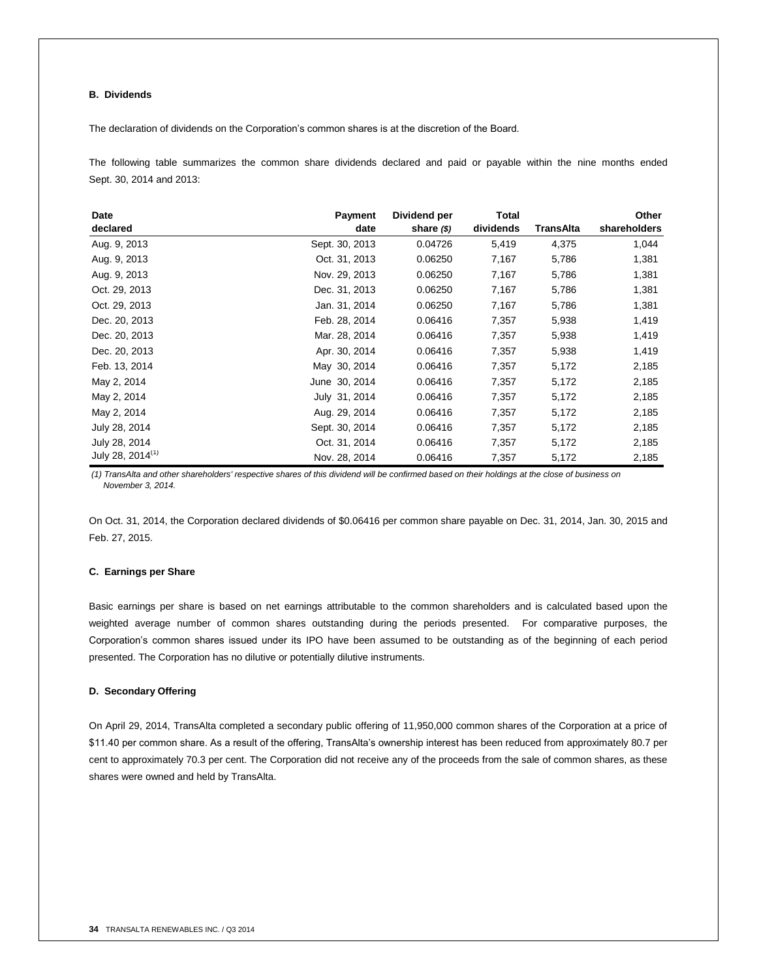# **B. Dividends**

The declaration of dividends on the Corporation's common shares is at the discretion of the Board.

The following table summarizes the common share dividends declared and paid or payable within the nine months ended Sept. 30, 2014 and 2013:

| Date                         | <b>Payment</b> | Dividend per  | <b>Total</b> |           | Other        |
|------------------------------|----------------|---------------|--------------|-----------|--------------|
| declared                     | date           | share $($ \$) | dividends    | TransAlta | shareholders |
| Aug. 9, 2013                 | Sept. 30, 2013 | 0.04726       | 5,419        | 4,375     | 1,044        |
| Aug. 9, 2013                 | Oct. 31, 2013  | 0.06250       | 7,167        | 5,786     | 1,381        |
| Aug. 9, 2013                 | Nov. 29, 2013  | 0.06250       | 7,167        | 5,786     | 1,381        |
| Oct. 29, 2013                | Dec. 31, 2013  | 0.06250       | 7,167        | 5,786     | 1,381        |
| Oct. 29, 2013                | Jan. 31, 2014  | 0.06250       | 7,167        | 5,786     | 1,381        |
| Dec. 20, 2013                | Feb. 28, 2014  | 0.06416       | 7,357        | 5,938     | 1,419        |
| Dec. 20, 2013                | Mar. 28, 2014  | 0.06416       | 7,357        | 5,938     | 1,419        |
| Dec. 20, 2013                | Apr. 30, 2014  | 0.06416       | 7,357        | 5,938     | 1,419        |
| Feb. 13, 2014                | May 30, 2014   | 0.06416       | 7,357        | 5,172     | 2,185        |
| May 2, 2014                  | June 30, 2014  | 0.06416       | 7,357        | 5,172     | 2,185        |
| May 2, 2014                  | July 31, 2014  | 0.06416       | 7,357        | 5,172     | 2,185        |
| May 2, 2014                  | Aug. 29, 2014  | 0.06416       | 7,357        | 5,172     | 2,185        |
| July 28, 2014                | Sept. 30, 2014 | 0.06416       | 7,357        | 5,172     | 2,185        |
| July 28, 2014                | Oct. 31, 2014  | 0.06416       | 7,357        | 5,172     | 2,185        |
| July 28, 2014 <sup>(1)</sup> | Nov. 28, 2014  | 0.06416       | 7,357        | 5,172     | 2,185        |

*(1) TransAlta and other shareholders' respective shares of this dividend will be confirmed based on their holdings at the close of business on November 3, 2014.*

On Oct. 31, 2014, the Corporation declared dividends of \$0.06416 per common share payable on Dec. 31, 2014, Jan. 30, 2015 and Feb. 27, 2015.

# **C. Earnings per Share**

Basic earnings per share is based on net earnings attributable to the common shareholders and is calculated based upon the weighted average number of common shares outstanding during the periods presented. For comparative purposes, the Corporation's common shares issued under its IPO have been assumed to be outstanding as of the beginning of each period presented. The Corporation has no dilutive or potentially dilutive instruments.

## **D. Secondary Offering**

On April 29, 2014, TransAlta completed a secondary public offering of 11,950,000 common shares of the Corporation at a price of \$11.40 per common share. As a result of the offering, TransAlta's ownership interest has been reduced from approximately 80.7 per cent to approximately 70.3 per cent. The Corporation did not receive any of the proceeds from the sale of common shares, as these shares were owned and held by TransAlta.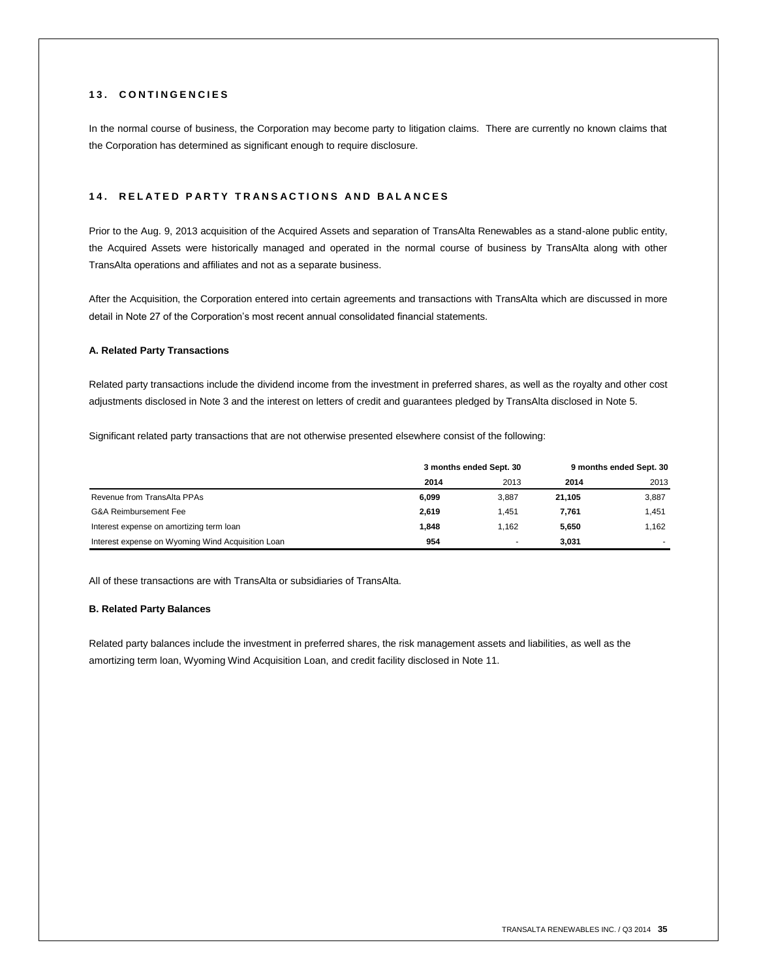# **1 3 . C O N T I N G E N C I E S**

In the normal course of business, the Corporation may become party to litigation claims. There are currently no known claims that the Corporation has determined as significant enough to require disclosure.

# **1 4 . R E L A T E D P A R T Y T R A N S A C T I O N S A N D B A L A N C E S**

Prior to the Aug. 9, 2013 acquisition of the Acquired Assets and separation of TransAlta Renewables as a stand-alone public entity, the Acquired Assets were historically managed and operated in the normal course of business by TransAlta along with other TransAlta operations and affiliates and not as a separate business.

After the Acquisition, the Corporation entered into certain agreements and transactions with TransAlta which are discussed in more detail in Note 27 of the Corporation's most recent annual consolidated financial statements.

## **A. Related Party Transactions**

Related party transactions include the dividend income from the investment in preferred shares, as well as the royalty and other cost adjustments disclosed in Note 3 and the interest on letters of credit and guarantees pledged by TransAlta disclosed in Note 5.

Significant related party transactions that are not otherwise presented elsewhere consist of the following:

|                                                   | 3 months ended Sept. 30 |       | 9 months ended Sept. 30 |       |
|---------------------------------------------------|-------------------------|-------|-------------------------|-------|
|                                                   | 2014                    | 2013  | 2014                    | 2013  |
| Revenue from TransAlta PPAs                       | 6.099                   | 3.887 | 21.105                  | 3,887 |
| <b>G&amp;A Reimbursement Fee</b>                  | 2.619                   | 1.451 | 7.761                   | 1.451 |
| Interest expense on amortizing term loan          | 1.848                   | 1.162 | 5.650                   | 1,162 |
| Interest expense on Wyoming Wind Acquisition Loan | 954                     |       | 3.031                   |       |

All of these transactions are with TransAlta or subsidiaries of TransAlta.

## **B. Related Party Balances**

Related party balances include the investment in preferred shares, the risk management assets and liabilities, as well as the amortizing term loan, Wyoming Wind Acquisition Loan, and credit facility disclosed in Note 11.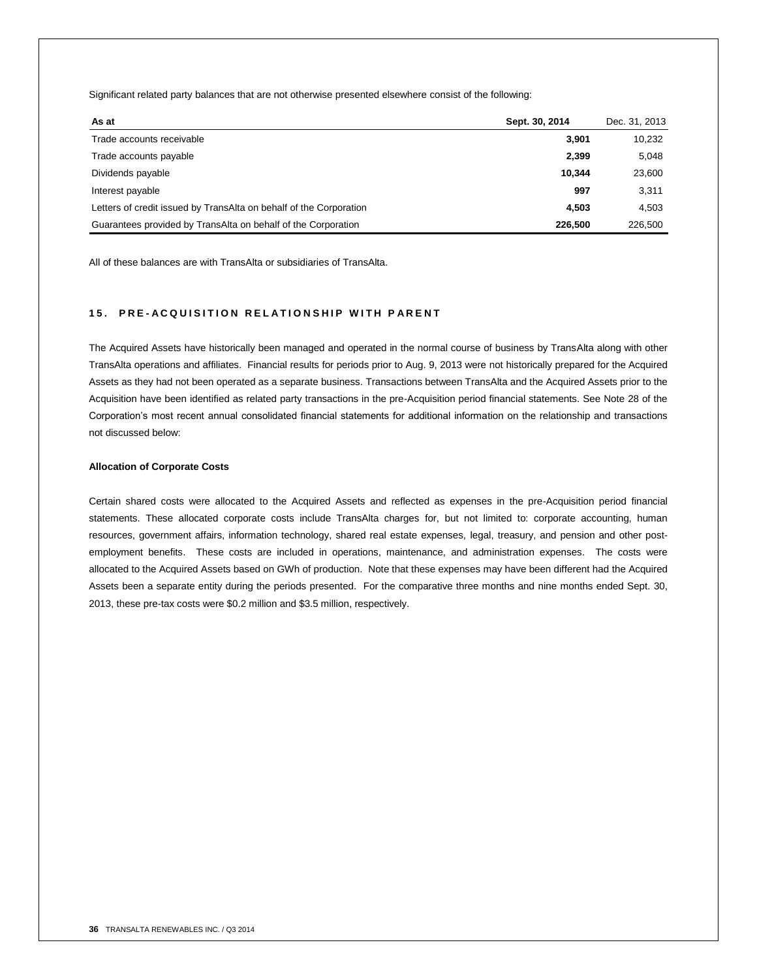Significant related party balances that are not otherwise presented elsewhere consist of the following:

| As at                                                              | Sept. 30, 2014 | Dec. 31, 2013 |
|--------------------------------------------------------------------|----------------|---------------|
| Trade accounts receivable                                          | 3.901          | 10,232        |
| Trade accounts payable                                             | 2,399          | 5,048         |
| Dividends payable                                                  | 10.344         | 23,600        |
| Interest payable                                                   | 997            | 3,311         |
| Letters of credit issued by TransAlta on behalf of the Corporation | 4.503          | 4,503         |
| Guarantees provided by TransAlta on behalf of the Corporation      | 226,500        | 226,500       |

All of these balances are with TransAlta or subsidiaries of TransAlta.

# **15. PRE-ACQUISITION RELATIONSHIP WITH PARENT**

The Acquired Assets have historically been managed and operated in the normal course of business by TransAlta along with other TransAlta operations and affiliates. Financial results for periods prior to Aug. 9, 2013 were not historically prepared for the Acquired Assets as they had not been operated as a separate business. Transactions between TransAlta and the Acquired Assets prior to the Acquisition have been identified as related party transactions in the pre-Acquisition period financial statements. See Note 28 of the Corporation's most recent annual consolidated financial statements for additional information on the relationship and transactions not discussed below:

## **Allocation of Corporate Costs**

Certain shared costs were allocated to the Acquired Assets and reflected as expenses in the pre-Acquisition period financial statements. These allocated corporate costs include TransAlta charges for, but not limited to: corporate accounting, human resources, government affairs, information technology, shared real estate expenses, legal, treasury, and pension and other postemployment benefits. These costs are included in operations, maintenance, and administration expenses. The costs were allocated to the Acquired Assets based on GWh of production. Note that these expenses may have been different had the Acquired Assets been a separate entity during the periods presented. For the comparative three months and nine months ended Sept. 30, 2013, these pre-tax costs were \$0.2 million and \$3.5 million, respectively.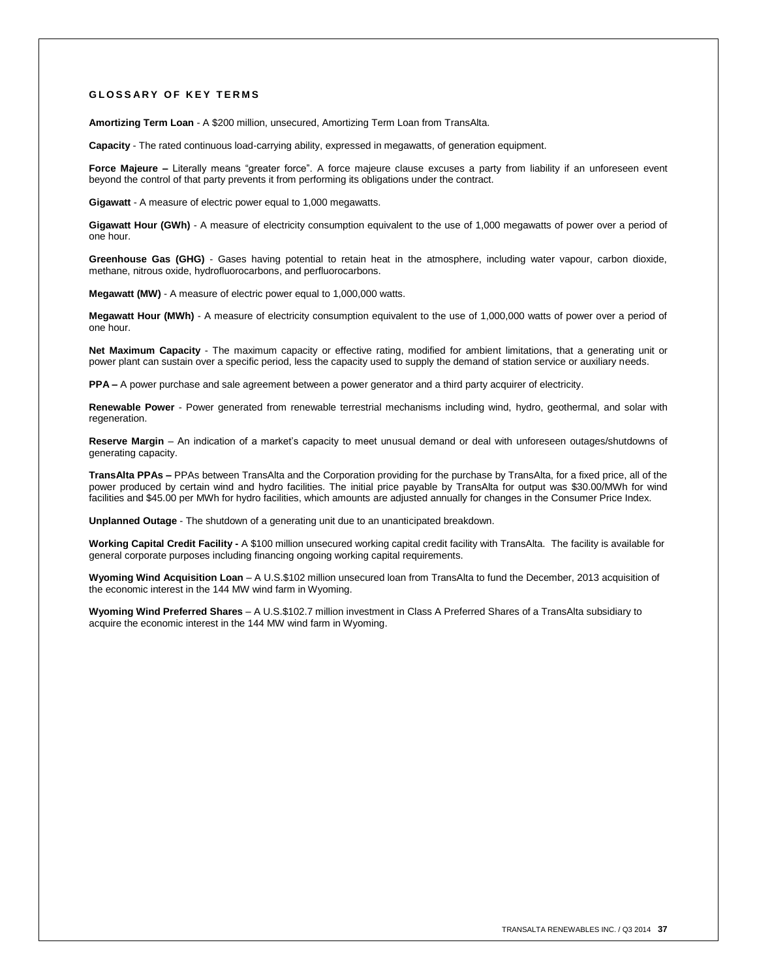## **G L O S S A R Y O F K E Y T E R M S**

**Amortizing Term Loan** - A \$200 million, unsecured, Amortizing Term Loan from TransAlta.

**Capacity** - The rated continuous load-carrying ability, expressed in megawatts, of generation equipment.

Force Majeure – Literally means "greater force". A force majeure clause excuses a party from liability if an unforeseen event beyond the control of that party prevents it from performing its obligations under the contract.

**Gigawatt** - A measure of electric power equal to 1,000 megawatts.

**Gigawatt Hour (GWh)** - A measure of electricity consumption equivalent to the use of 1,000 megawatts of power over a period of one hour.

**Greenhouse Gas (GHG)** - Gases having potential to retain heat in the atmosphere, including water vapour, carbon dioxide, methane, nitrous oxide, hydrofluorocarbons, and perfluorocarbons.

**Megawatt (MW)** - A measure of electric power equal to 1,000,000 watts.

**Megawatt Hour (MWh)** - A measure of electricity consumption equivalent to the use of 1,000,000 watts of power over a period of one hour.

**Net Maximum Capacity** - The maximum capacity or effective rating, modified for ambient limitations, that a generating unit or power plant can sustain over a specific period, less the capacity used to supply the demand of station service or auxiliary needs.

**PPA –** A power purchase and sale agreement between a power generator and a third party acquirer of electricity.

**Renewable Power** - Power generated from renewable terrestrial mechanisms including wind, hydro, geothermal, and solar with regeneration

**Reserve Margin** – An indication of a market's capacity to meet unusual demand or deal with unforeseen outages/shutdowns of generating capacity.

**TransAlta PPAs –** PPAs between TransAlta and the Corporation providing for the purchase by TransAlta, for a fixed price, all of the power produced by certain wind and hydro facilities. The initial price payable by TransAlta for output was \$30.00/MWh for wind facilities and \$45.00 per MWh for hydro facilities, which amounts are adjusted annually for changes in the Consumer Price Index.

**Unplanned Outage** - The shutdown of a generating unit due to an unanticipated breakdown.

**Working Capital Credit Facility -** A \$100 million unsecured working capital credit facility with TransAlta. The facility is available for general corporate purposes including financing ongoing working capital requirements.

**Wyoming Wind Acquisition Loan** – A U.S.\$102 million unsecured loan from TransAlta to fund the December, 2013 acquisition of the economic interest in the 144 MW wind farm in Wyoming.

**Wyoming Wind Preferred Shares** – A U.S.\$102.7 million investment in Class A Preferred Shares of a TransAlta subsidiary to acquire the economic interest in the 144 MW wind farm in Wyoming.